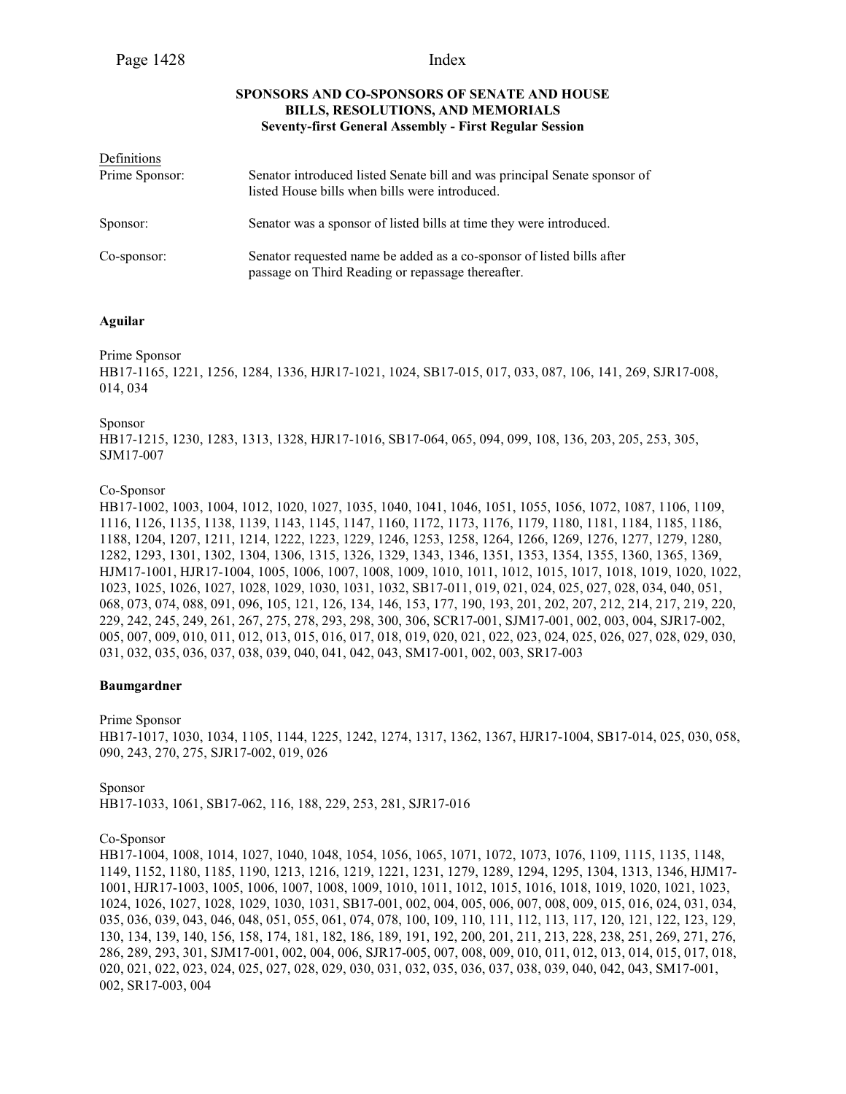# **SPONSORS AND CO-SPONSORS OF SENATE AND HOUSE BILLS, RESOLUTIONS, AND MEMORIALS Seventy-first General Assembly - First Regular Session**

| Definitions    |                                                                                                                             |
|----------------|-----------------------------------------------------------------------------------------------------------------------------|
| Prime Sponsor: | Senator introduced listed Senate bill and was principal Senate sponsor of<br>listed House bills when bills were introduced. |
| Sponsor:       | Senator was a sponsor of listed bills at time they were introduced.                                                         |
| Co-sponsor:    | Senator requested name be added as a co-sponsor of listed bills after<br>passage on Third Reading or repassage thereafter.  |

# **Aguilar**

Prime Sponsor

HB17-1165, 1221, 1256, 1284, 1336, HJR17-1021, 1024, SB17-015, 017, 033, 087, 106, 141, 269, SJR17-008, 014, 034

Sponsor

HB17-1215, 1230, 1283, 1313, 1328, HJR17-1016, SB17-064, 065, 094, 099, 108, 136, 203, 205, 253, 305, SJM17-007

# Co-Sponsor

HB17-1002, 1003, 1004, 1012, 1020, 1027, 1035, 1040, 1041, 1046, 1051, 1055, 1056, 1072, 1087, 1106, 1109, 1116, 1126, 1135, 1138, 1139, 1143, 1145, 1147, 1160, 1172, 1173, 1176, 1179, 1180, 1181, 1184, 1185, 1186, 1188, 1204, 1207, 1211, 1214, 1222, 1223, 1229, 1246, 1253, 1258, 1264, 1266, 1269, 1276, 1277, 1279, 1280, 1282, 1293, 1301, 1302, 1304, 1306, 1315, 1326, 1329, 1343, 1346, 1351, 1353, 1354, 1355, 1360, 1365, 1369, HJM17-1001, HJR17-1004, 1005, 1006, 1007, 1008, 1009, 1010, 1011, 1012, 1015, 1017, 1018, 1019, 1020, 1022, 1023, 1025, 1026, 1027, 1028, 1029, 1030, 1031, 1032, SB17-011, 019, 021, 024, 025, 027, 028, 034, 040, 051, 068, 073, 074, 088, 091, 096, 105, 121, 126, 134, 146, 153, 177, 190, 193, 201, 202, 207, 212, 214, 217, 219, 220, 229, 242, 245, 249, 261, 267, 275, 278, 293, 298, 300, 306, SCR17-001, SJM17-001, 002, 003, 004, SJR17-002, 005, 007, 009, 010, 011, 012, 013, 015, 016, 017, 018, 019, 020, 021, 022, 023, 024, 025, 026, 027, 028, 029, 030, 031, 032, 035, 036, 037, 038, 039, 040, 041, 042, 043, SM17-001, 002, 003, SR17-003

# **Baumgardner**

Prime Sponsor HB17-1017, 1030, 1034, 1105, 1144, 1225, 1242, 1274, 1317, 1362, 1367, HJR17-1004, SB17-014, 025, 030, 058, 090, 243, 270, 275, SJR17-002, 019, 026

Sponsor HB17-1033, 1061, SB17-062, 116, 188, 229, 253, 281, SJR17-016

Co-Sponsor

HB17-1004, 1008, 1014, 1027, 1040, 1048, 1054, 1056, 1065, 1071, 1072, 1073, 1076, 1109, 1115, 1135, 1148, 1149, 1152, 1180, 1185, 1190, 1213, 1216, 1219, 1221, 1231, 1279, 1289, 1294, 1295, 1304, 1313, 1346, HJM17- 1001, HJR17-1003, 1005, 1006, 1007, 1008, 1009, 1010, 1011, 1012, 1015, 1016, 1018, 1019, 1020, 1021, 1023, 1024, 1026, 1027, 1028, 1029, 1030, 1031, SB17-001, 002, 004, 005, 006, 007, 008, 009, 015, 016, 024, 031, 034, 035, 036, 039, 043, 046, 048, 051, 055, 061, 074, 078, 100, 109, 110, 111, 112, 113, 117, 120, 121, 122, 123, 129, 130, 134, 139, 140, 156, 158, 174, 181, 182, 186, 189, 191, 192, 200, 201, 211, 213, 228, 238, 251, 269, 271, 276, 286, 289, 293, 301, SJM17-001, 002, 004, 006, SJR17-005, 007, 008, 009, 010, 011, 012, 013, 014, 015, 017, 018, 020, 021, 022, 023, 024, 025, 027, 028, 029, 030, 031, 032, 035, 036, 037, 038, 039, 040, 042, 043, SM17-001, 002, SR17-003, 004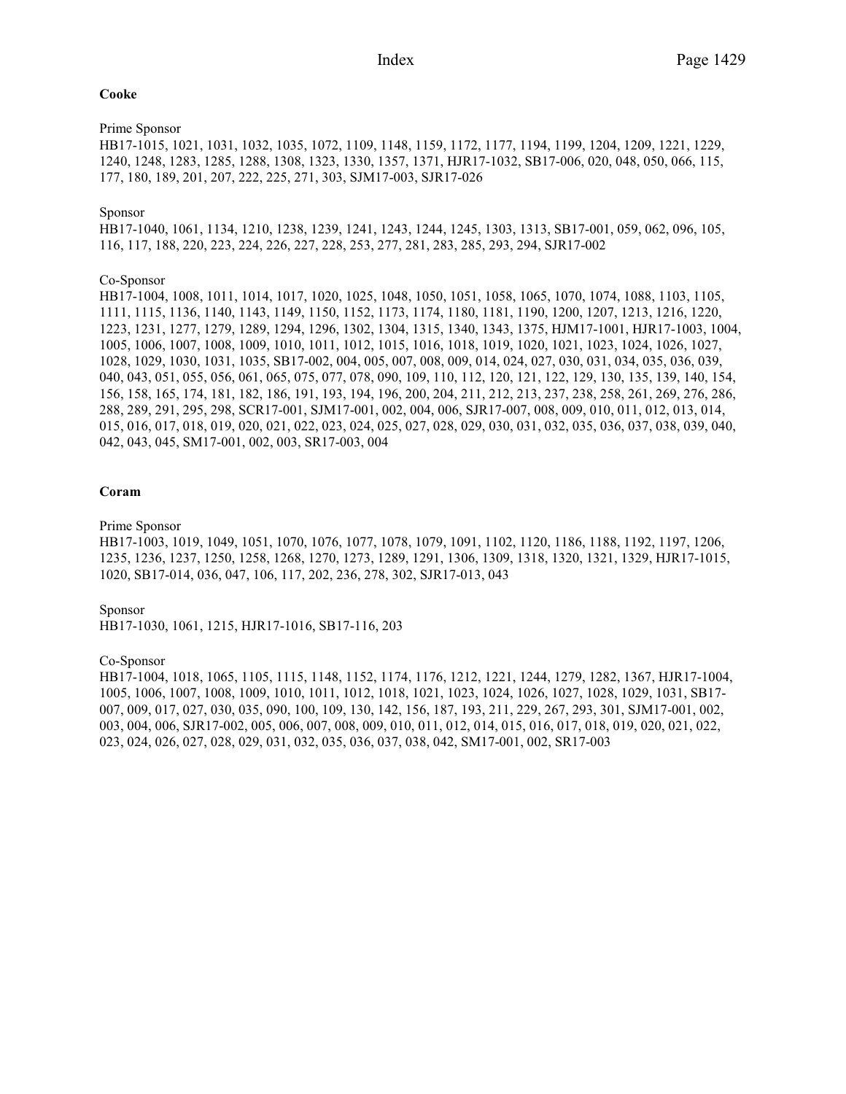# **Cooke**

# Prime Sponsor

HB17-1015, 1021, 1031, 1032, 1035, 1072, 1109, 1148, 1159, 1172, 1177, 1194, 1199, 1204, 1209, 1221, 1229, 1240, 1248, 1283, 1285, 1288, 1308, 1323, 1330, 1357, 1371, HJR17-1032, SB17-006, 020, 048, 050, 066, 115, 177, 180, 189, 201, 207, 222, 225, 271, 303, SJM17-003, SJR17-026

# Sponsor

HB17-1040, 1061, 1134, 1210, 1238, 1239, 1241, 1243, 1244, 1245, 1303, 1313, SB17-001, 059, 062, 096, 105, 116, 117, 188, 220, 223, 224, 226, 227, 228, 253, 277, 281, 283, 285, 293, 294, SJR17-002

# Co-Sponsor

HB17-1004, 1008, 1011, 1014, 1017, 1020, 1025, 1048, 1050, 1051, 1058, 1065, 1070, 1074, 1088, 1103, 1105, 1111, 1115, 1136, 1140, 1143, 1149, 1150, 1152, 1173, 1174, 1180, 1181, 1190, 1200, 1207, 1213, 1216, 1220, 1223, 1231, 1277, 1279, 1289, 1294, 1296, 1302, 1304, 1315, 1340, 1343, 1375, HJM17-1001, HJR17-1003, 1004, 1005, 1006, 1007, 1008, 1009, 1010, 1011, 1012, 1015, 1016, 1018, 1019, 1020, 1021, 1023, 1024, 1026, 1027, 1028, 1029, 1030, 1031, 1035, SB17-002, 004, 005, 007, 008, 009, 014, 024, 027, 030, 031, 034, 035, 036, 039, 040, 043, 051, 055, 056, 061, 065, 075, 077, 078, 090, 109, 110, 112, 120, 121, 122, 129, 130, 135, 139, 140, 154, 156, 158, 165, 174, 181, 182, 186, 191, 193, 194, 196, 200, 204, 211, 212, 213, 237, 238, 258, 261, 269, 276, 286, 288, 289, 291, 295, 298, SCR17-001, SJM17-001, 002, 004, 006, SJR17-007, 008, 009, 010, 011, 012, 013, 014, 015, 016, 017, 018, 019, 020, 021, 022, 023, 024, 025, 027, 028, 029, 030, 031, 032, 035, 036, 037, 038, 039, 040, 042, 043, 045, SM17-001, 002, 003, SR17-003, 004

# **Coram**

# Prime Sponsor

HB17-1003, 1019, 1049, 1051, 1070, 1076, 1077, 1078, 1079, 1091, 1102, 1120, 1186, 1188, 1192, 1197, 1206, 1235, 1236, 1237, 1250, 1258, 1268, 1270, 1273, 1289, 1291, 1306, 1309, 1318, 1320, 1321, 1329, HJR17-1015, 1020, SB17-014, 036, 047, 106, 117, 202, 236, 278, 302, SJR17-013, 043

Sponsor

HB17-1030, 1061, 1215, HJR17-1016, SB17-116, 203

# Co-Sponsor

HB17-1004, 1018, 1065, 1105, 1115, 1148, 1152, 1174, 1176, 1212, 1221, 1244, 1279, 1282, 1367, HJR17-1004, 1005, 1006, 1007, 1008, 1009, 1010, 1011, 1012, 1018, 1021, 1023, 1024, 1026, 1027, 1028, 1029, 1031, SB17- 007, 009, 017, 027, 030, 035, 090, 100, 109, 130, 142, 156, 187, 193, 211, 229, 267, 293, 301, SJM17-001, 002, 003, 004, 006, SJR17-002, 005, 006, 007, 008, 009, 010, 011, 012, 014, 015, 016, 017, 018, 019, 020, 021, 022, 023, 024, 026, 027, 028, 029, 031, 032, 035, 036, 037, 038, 042, SM17-001, 002, SR17-003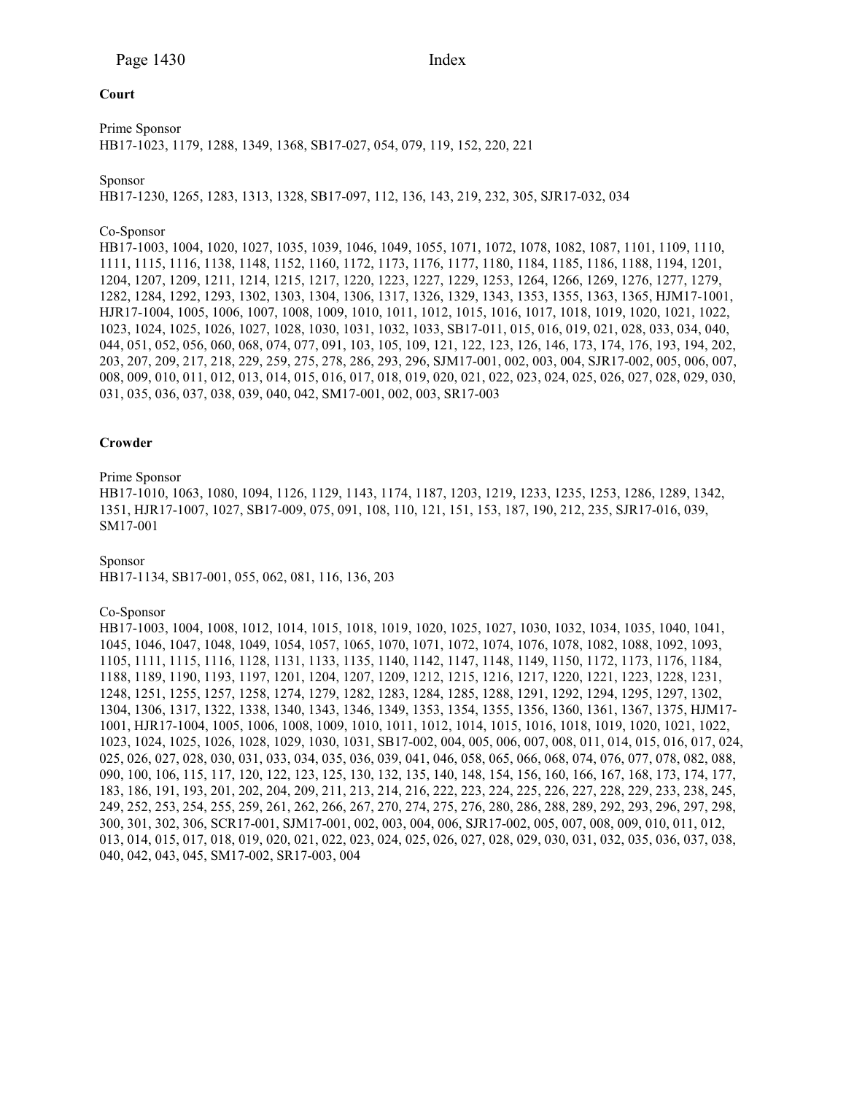# **Court**

Prime Sponsor HB17-1023, 1179, 1288, 1349, 1368, SB17-027, 054, 079, 119, 152, 220, 221

# Sponsor

HB17-1230, 1265, 1283, 1313, 1328, SB17-097, 112, 136, 143, 219, 232, 305, SJR17-032, 034

#### Co-Sponsor

HB17-1003, 1004, 1020, 1027, 1035, 1039, 1046, 1049, 1055, 1071, 1072, 1078, 1082, 1087, 1101, 1109, 1110, 1111, 1115, 1116, 1138, 1148, 1152, 1160, 1172, 1173, 1176, 1177, 1180, 1184, 1185, 1186, 1188, 1194, 1201, 1204, 1207, 1209, 1211, 1214, 1215, 1217, 1220, 1223, 1227, 1229, 1253, 1264, 1266, 1269, 1276, 1277, 1279, 1282, 1284, 1292, 1293, 1302, 1303, 1304, 1306, 1317, 1326, 1329, 1343, 1353, 1355, 1363, 1365, HJM17-1001, HJR17-1004, 1005, 1006, 1007, 1008, 1009, 1010, 1011, 1012, 1015, 1016, 1017, 1018, 1019, 1020, 1021, 1022, 1023, 1024, 1025, 1026, 1027, 1028, 1030, 1031, 1032, 1033, SB17-011, 015, 016, 019, 021, 028, 033, 034, 040, 044, 051, 052, 056, 060, 068, 074, 077, 091, 103, 105, 109, 121, 122, 123, 126, 146, 173, 174, 176, 193, 194, 202, 203, 207, 209, 217, 218, 229, 259, 275, 278, 286, 293, 296, SJM17-001, 002, 003, 004, SJR17-002, 005, 006, 007, 008, 009, 010, 011, 012, 013, 014, 015, 016, 017, 018, 019, 020, 021, 022, 023, 024, 025, 026, 027, 028, 029, 030, 031, 035, 036, 037, 038, 039, 040, 042, SM17-001, 002, 003, SR17-003

#### **Crowder**

# Prime Sponsor

HB17-1010, 1063, 1080, 1094, 1126, 1129, 1143, 1174, 1187, 1203, 1219, 1233, 1235, 1253, 1286, 1289, 1342, 1351, HJR17-1007, 1027, SB17-009, 075, 091, 108, 110, 121, 151, 153, 187, 190, 212, 235, SJR17-016, 039, SM17-001

Sponsor

HB17-1134, SB17-001, 055, 062, 081, 116, 136, 203

#### Co-Sponsor

HB17-1003, 1004, 1008, 1012, 1014, 1015, 1018, 1019, 1020, 1025, 1027, 1030, 1032, 1034, 1035, 1040, 1041, 1045, 1046, 1047, 1048, 1049, 1054, 1057, 1065, 1070, 1071, 1072, 1074, 1076, 1078, 1082, 1088, 1092, 1093, 1105, 1111, 1115, 1116, 1128, 1131, 1133, 1135, 1140, 1142, 1147, 1148, 1149, 1150, 1172, 1173, 1176, 1184, 1188, 1189, 1190, 1193, 1197, 1201, 1204, 1207, 1209, 1212, 1215, 1216, 1217, 1220, 1221, 1223, 1228, 1231, 1248, 1251, 1255, 1257, 1258, 1274, 1279, 1282, 1283, 1284, 1285, 1288, 1291, 1292, 1294, 1295, 1297, 1302, 1304, 1306, 1317, 1322, 1338, 1340, 1343, 1346, 1349, 1353, 1354, 1355, 1356, 1360, 1361, 1367, 1375, HJM17- 1001, HJR17-1004, 1005, 1006, 1008, 1009, 1010, 1011, 1012, 1014, 1015, 1016, 1018, 1019, 1020, 1021, 1022, 1023, 1024, 1025, 1026, 1028, 1029, 1030, 1031, SB17-002, 004, 005, 006, 007, 008, 011, 014, 015, 016, 017, 024, 025, 026, 027, 028, 030, 031, 033, 034, 035, 036, 039, 041, 046, 058, 065, 066, 068, 074, 076, 077, 078, 082, 088, 090, 100, 106, 115, 117, 120, 122, 123, 125, 130, 132, 135, 140, 148, 154, 156, 160, 166, 167, 168, 173, 174, 177, 183, 186, 191, 193, 201, 202, 204, 209, 211, 213, 214, 216, 222, 223, 224, 225, 226, 227, 228, 229, 233, 238, 245, 249, 252, 253, 254, 255, 259, 261, 262, 266, 267, 270, 274, 275, 276, 280, 286, 288, 289, 292, 293, 296, 297, 298, 300, 301, 302, 306, SCR17-001, SJM17-001, 002, 003, 004, 006, SJR17-002, 005, 007, 008, 009, 010, 011, 012, 013, 014, 015, 017, 018, 019, 020, 021, 022, 023, 024, 025, 026, 027, 028, 029, 030, 031, 032, 035, 036, 037, 038, 040, 042, 043, 045, SM17-002, SR17-003, 004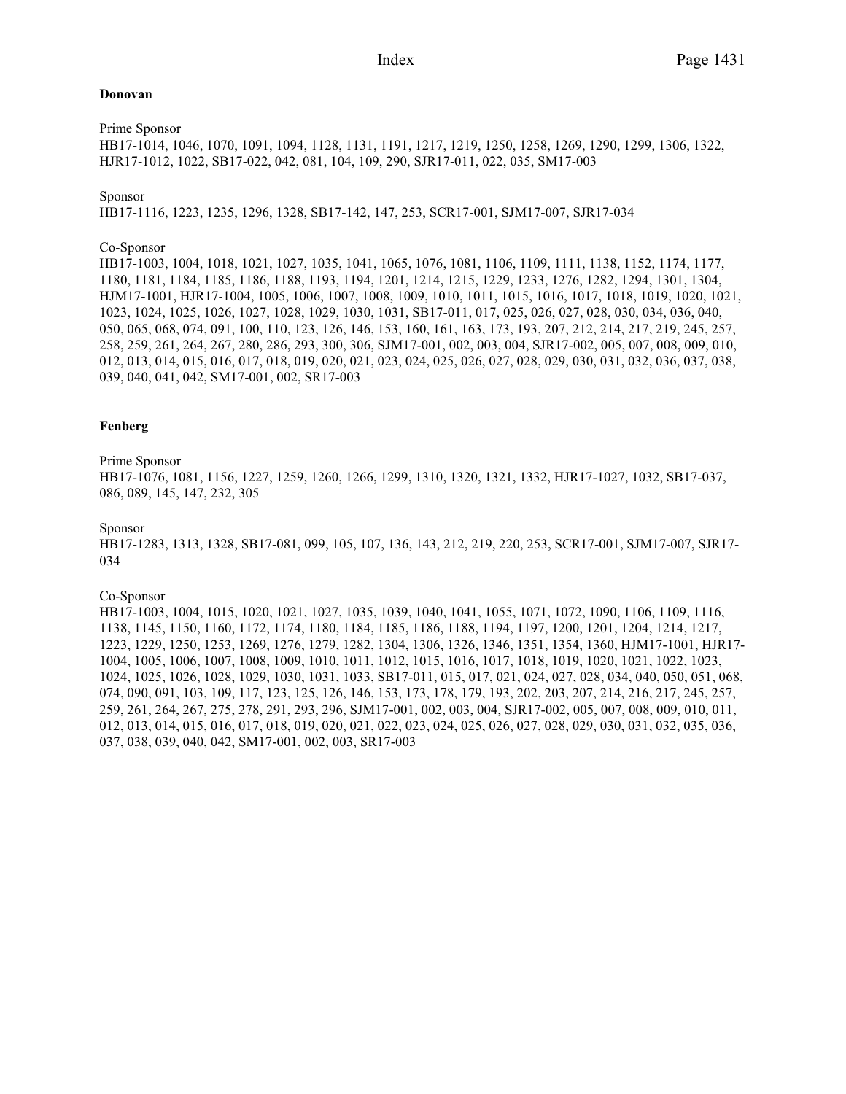# **Donovan**

Prime Sponsor HB17-1014, 1046, 1070, 1091, 1094, 1128, 1131, 1191, 1217, 1219, 1250, 1258, 1269, 1290, 1299, 1306, 1322, HJR17-1012, 1022, SB17-022, 042, 081, 104, 109, 290, SJR17-011, 022, 035, SM17-003

# Sponsor

HB17-1116, 1223, 1235, 1296, 1328, SB17-142, 147, 253, SCR17-001, SJM17-007, SJR17-034

# Co-Sponsor

HB17-1003, 1004, 1018, 1021, 1027, 1035, 1041, 1065, 1076, 1081, 1106, 1109, 1111, 1138, 1152, 1174, 1177, 1180, 1181, 1184, 1185, 1186, 1188, 1193, 1194, 1201, 1214, 1215, 1229, 1233, 1276, 1282, 1294, 1301, 1304, HJM17-1001, HJR17-1004, 1005, 1006, 1007, 1008, 1009, 1010, 1011, 1015, 1016, 1017, 1018, 1019, 1020, 1021, 1023, 1024, 1025, 1026, 1027, 1028, 1029, 1030, 1031, SB17-011, 017, 025, 026, 027, 028, 030, 034, 036, 040, 050, 065, 068, 074, 091, 100, 110, 123, 126, 146, 153, 160, 161, 163, 173, 193, 207, 212, 214, 217, 219, 245, 257, 258, 259, 261, 264, 267, 280, 286, 293, 300, 306, SJM17-001, 002, 003, 004, SJR17-002, 005, 007, 008, 009, 010, 012, 013, 014, 015, 016, 017, 018, 019, 020, 021, 023, 024, 025, 026, 027, 028, 029, 030, 031, 032, 036, 037, 038, 039, 040, 041, 042, SM17-001, 002, SR17-003

# **Fenberg**

# Prime Sponsor

HB17-1076, 1081, 1156, 1227, 1259, 1260, 1266, 1299, 1310, 1320, 1321, 1332, HJR17-1027, 1032, SB17-037, 086, 089, 145, 147, 232, 305

# Sponsor

HB17-1283, 1313, 1328, SB17-081, 099, 105, 107, 136, 143, 212, 219, 220, 253, SCR17-001, SJM17-007, SJR17- 034

#### Co-Sponsor

HB17-1003, 1004, 1015, 1020, 1021, 1027, 1035, 1039, 1040, 1041, 1055, 1071, 1072, 1090, 1106, 1109, 1116, 1138, 1145, 1150, 1160, 1172, 1174, 1180, 1184, 1185, 1186, 1188, 1194, 1197, 1200, 1201, 1204, 1214, 1217, 1223, 1229, 1250, 1253, 1269, 1276, 1279, 1282, 1304, 1306, 1326, 1346, 1351, 1354, 1360, HJM17-1001, HJR17- 1004, 1005, 1006, 1007, 1008, 1009, 1010, 1011, 1012, 1015, 1016, 1017, 1018, 1019, 1020, 1021, 1022, 1023, 1024, 1025, 1026, 1028, 1029, 1030, 1031, 1033, SB17-011, 015, 017, 021, 024, 027, 028, 034, 040, 050, 051, 068, 074, 090, 091, 103, 109, 117, 123, 125, 126, 146, 153, 173, 178, 179, 193, 202, 203, 207, 214, 216, 217, 245, 257, 259, 261, 264, 267, 275, 278, 291, 293, 296, SJM17-001, 002, 003, 004, SJR17-002, 005, 007, 008, 009, 010, 011, 012, 013, 014, 015, 016, 017, 018, 019, 020, 021, 022, 023, 024, 025, 026, 027, 028, 029, 030, 031, 032, 035, 036, 037, 038, 039, 040, 042, SM17-001, 002, 003, SR17-003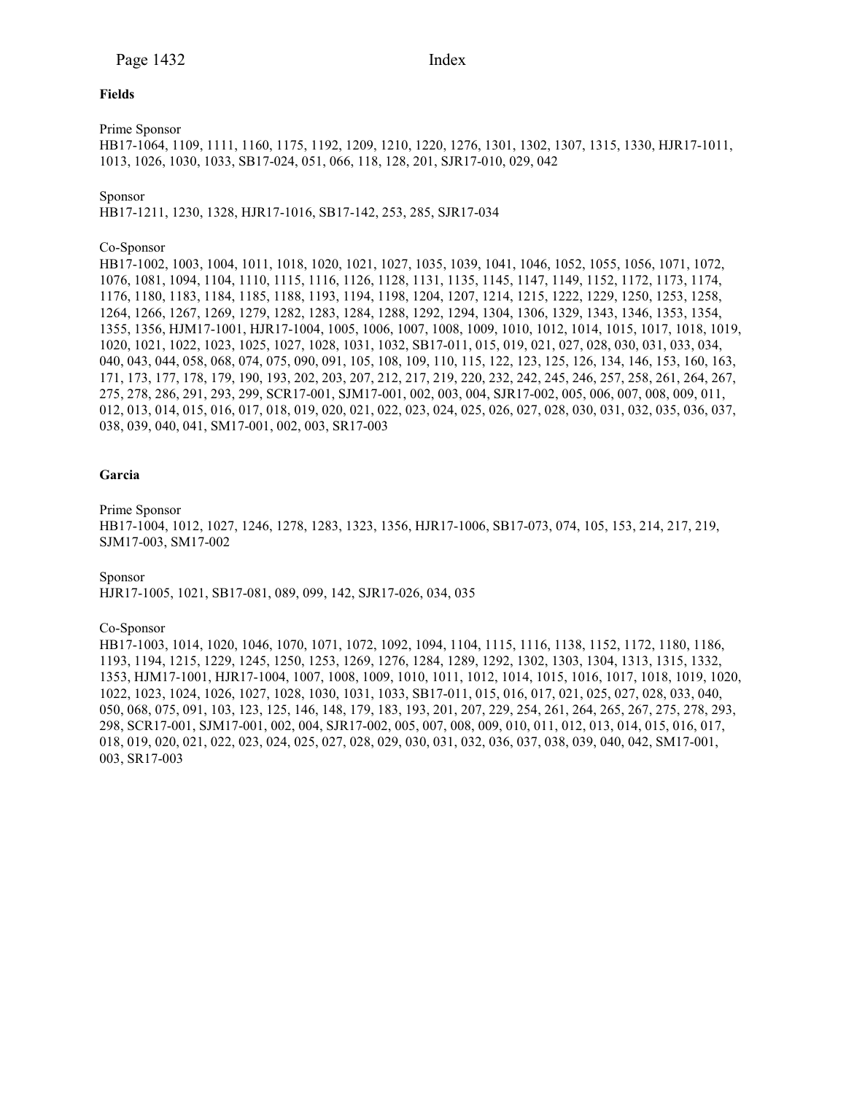## **Fields**

Prime Sponsor

HB17-1064, 1109, 1111, 1160, 1175, 1192, 1209, 1210, 1220, 1276, 1301, 1302, 1307, 1315, 1330, HJR17-1011, 1013, 1026, 1030, 1033, SB17-024, 051, 066, 118, 128, 201, SJR17-010, 029, 042

Sponsor

HB17-1211, 1230, 1328, HJR17-1016, SB17-142, 253, 285, SJR17-034

# Co-Sponsor

HB17-1002, 1003, 1004, 1011, 1018, 1020, 1021, 1027, 1035, 1039, 1041, 1046, 1052, 1055, 1056, 1071, 1072, 1076, 1081, 1094, 1104, 1110, 1115, 1116, 1126, 1128, 1131, 1135, 1145, 1147, 1149, 1152, 1172, 1173, 1174, 1176, 1180, 1183, 1184, 1185, 1188, 1193, 1194, 1198, 1204, 1207, 1214, 1215, 1222, 1229, 1250, 1253, 1258, 1264, 1266, 1267, 1269, 1279, 1282, 1283, 1284, 1288, 1292, 1294, 1304, 1306, 1329, 1343, 1346, 1353, 1354, 1355, 1356, HJM17-1001, HJR17-1004, 1005, 1006, 1007, 1008, 1009, 1010, 1012, 1014, 1015, 1017, 1018, 1019, 1020, 1021, 1022, 1023, 1025, 1027, 1028, 1031, 1032, SB17-011, 015, 019, 021, 027, 028, 030, 031, 033, 034, 040, 043, 044, 058, 068, 074, 075, 090, 091, 105, 108, 109, 110, 115, 122, 123, 125, 126, 134, 146, 153, 160, 163, 171, 173, 177, 178, 179, 190, 193, 202, 203, 207, 212, 217, 219, 220, 232, 242, 245, 246, 257, 258, 261, 264, 267, 275, 278, 286, 291, 293, 299, SCR17-001, SJM17-001, 002, 003, 004, SJR17-002, 005, 006, 007, 008, 009, 011, 012, 013, 014, 015, 016, 017, 018, 019, 020, 021, 022, 023, 024, 025, 026, 027, 028, 030, 031, 032, 035, 036, 037, 038, 039, 040, 041, SM17-001, 002, 003, SR17-003

# **Garcia**

Prime Sponsor HB17-1004, 1012, 1027, 1246, 1278, 1283, 1323, 1356, HJR17-1006, SB17-073, 074, 105, 153, 214, 217, 219, SJM17-003, SM17-002

Sponsor HJR17-1005, 1021, SB17-081, 089, 099, 142, SJR17-026, 034, 035

Co-Sponsor

HB17-1003, 1014, 1020, 1046, 1070, 1071, 1072, 1092, 1094, 1104, 1115, 1116, 1138, 1152, 1172, 1180, 1186, 1193, 1194, 1215, 1229, 1245, 1250, 1253, 1269, 1276, 1284, 1289, 1292, 1302, 1303, 1304, 1313, 1315, 1332, 1353, HJM17-1001, HJR17-1004, 1007, 1008, 1009, 1010, 1011, 1012, 1014, 1015, 1016, 1017, 1018, 1019, 1020, 1022, 1023, 1024, 1026, 1027, 1028, 1030, 1031, 1033, SB17-011, 015, 016, 017, 021, 025, 027, 028, 033, 040, 050, 068, 075, 091, 103, 123, 125, 146, 148, 179, 183, 193, 201, 207, 229, 254, 261, 264, 265, 267, 275, 278, 293, 298, SCR17-001, SJM17-001, 002, 004, SJR17-002, 005, 007, 008, 009, 010, 011, 012, 013, 014, 015, 016, 017, 018, 019, 020, 021, 022, 023, 024, 025, 027, 028, 029, 030, 031, 032, 036, 037, 038, 039, 040, 042, SM17-001, 003, SR17-003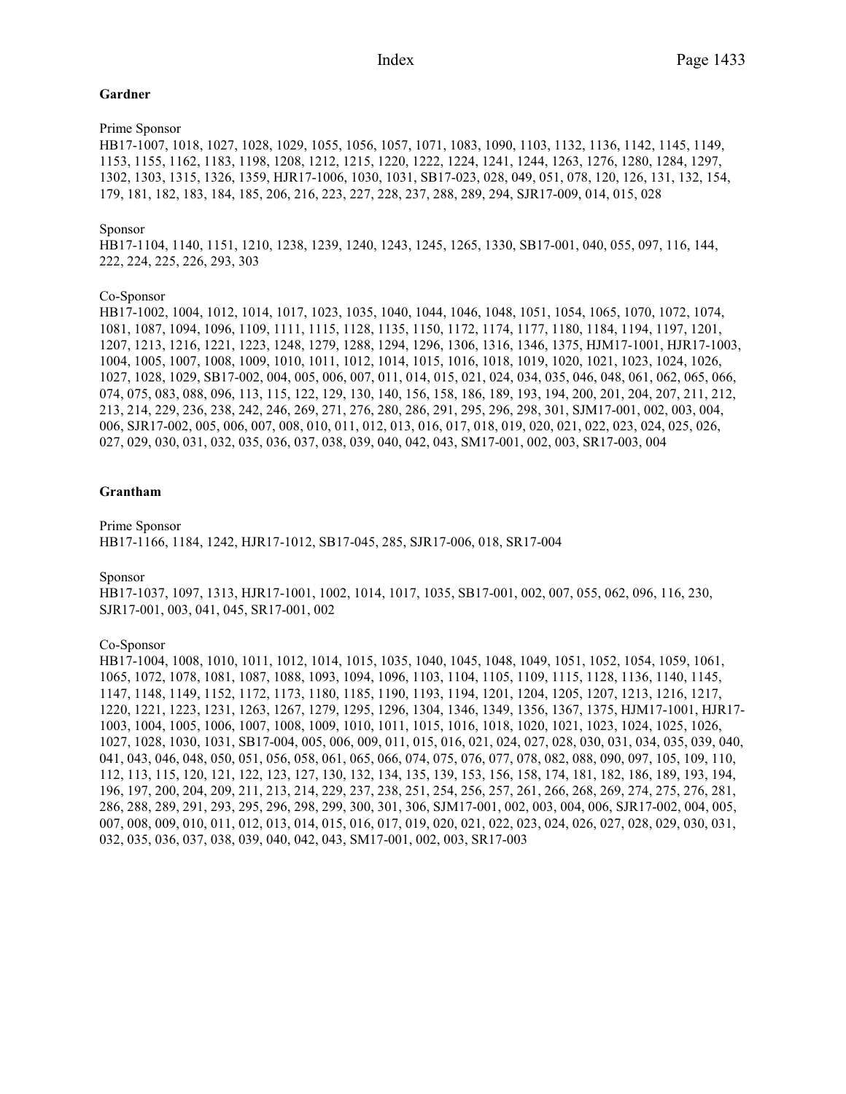# **Gardner**

# Prime Sponsor

HB17-1007, 1018, 1027, 1028, 1029, 1055, 1056, 1057, 1071, 1083, 1090, 1103, 1132, 1136, 1142, 1145, 1149, 1153, 1155, 1162, 1183, 1198, 1208, 1212, 1215, 1220, 1222, 1224, 1241, 1244, 1263, 1276, 1280, 1284, 1297, 1302, 1303, 1315, 1326, 1359, HJR17-1006, 1030, 1031, SB17-023, 028, 049, 051, 078, 120, 126, 131, 132, 154, 179, 181, 182, 183, 184, 185, 206, 216, 223, 227, 228, 237, 288, 289, 294, SJR17-009, 014, 015, 028

# Sponsor

HB17-1104, 1140, 1151, 1210, 1238, 1239, 1240, 1243, 1245, 1265, 1330, SB17-001, 040, 055, 097, 116, 144, 222, 224, 225, 226, 293, 303

# Co-Sponsor

HB17-1002, 1004, 1012, 1014, 1017, 1023, 1035, 1040, 1044, 1046, 1048, 1051, 1054, 1065, 1070, 1072, 1074, 1081, 1087, 1094, 1096, 1109, 1111, 1115, 1128, 1135, 1150, 1172, 1174, 1177, 1180, 1184, 1194, 1197, 1201, 1207, 1213, 1216, 1221, 1223, 1248, 1279, 1288, 1294, 1296, 1306, 1316, 1346, 1375, HJM17-1001, HJR17-1003, 1004, 1005, 1007, 1008, 1009, 1010, 1011, 1012, 1014, 1015, 1016, 1018, 1019, 1020, 1021, 1023, 1024, 1026, 1027, 1028, 1029, SB17-002, 004, 005, 006, 007, 011, 014, 015, 021, 024, 034, 035, 046, 048, 061, 062, 065, 066, 074, 075, 083, 088, 096, 113, 115, 122, 129, 130, 140, 156, 158, 186, 189, 193, 194, 200, 201, 204, 207, 211, 212, 213, 214, 229, 236, 238, 242, 246, 269, 271, 276, 280, 286, 291, 295, 296, 298, 301, SJM17-001, 002, 003, 004, 006, SJR17-002, 005, 006, 007, 008, 010, 011, 012, 013, 016, 017, 018, 019, 020, 021, 022, 023, 024, 025, 026, 027, 029, 030, 031, 032, 035, 036, 037, 038, 039, 040, 042, 043, SM17-001, 002, 003, SR17-003, 004

# **Grantham**

Prime Sponsor HB17-1166, 1184, 1242, HJR17-1012, SB17-045, 285, SJR17-006, 018, SR17-004

Sponsor

HB17-1037, 1097, 1313, HJR17-1001, 1002, 1014, 1017, 1035, SB17-001, 002, 007, 055, 062, 096, 116, 230, SJR17-001, 003, 041, 045, SR17-001, 002

#### Co-Sponsor

HB17-1004, 1008, 1010, 1011, 1012, 1014, 1015, 1035, 1040, 1045, 1048, 1049, 1051, 1052, 1054, 1059, 1061, 1065, 1072, 1078, 1081, 1087, 1088, 1093, 1094, 1096, 1103, 1104, 1105, 1109, 1115, 1128, 1136, 1140, 1145, 1147, 1148, 1149, 1152, 1172, 1173, 1180, 1185, 1190, 1193, 1194, 1201, 1204, 1205, 1207, 1213, 1216, 1217, 1220, 1221, 1223, 1231, 1263, 1267, 1279, 1295, 1296, 1304, 1346, 1349, 1356, 1367, 1375, HJM17-1001, HJR17- 1003, 1004, 1005, 1006, 1007, 1008, 1009, 1010, 1011, 1015, 1016, 1018, 1020, 1021, 1023, 1024, 1025, 1026, 1027, 1028, 1030, 1031, SB17-004, 005, 006, 009, 011, 015, 016, 021, 024, 027, 028, 030, 031, 034, 035, 039, 040, 041, 043, 046, 048, 050, 051, 056, 058, 061, 065, 066, 074, 075, 076, 077, 078, 082, 088, 090, 097, 105, 109, 110, 112, 113, 115, 120, 121, 122, 123, 127, 130, 132, 134, 135, 139, 153, 156, 158, 174, 181, 182, 186, 189, 193, 194, 196, 197, 200, 204, 209, 211, 213, 214, 229, 237, 238, 251, 254, 256, 257, 261, 266, 268, 269, 274, 275, 276, 281, 286, 288, 289, 291, 293, 295, 296, 298, 299, 300, 301, 306, SJM17-001, 002, 003, 004, 006, SJR17-002, 004, 005, 007, 008, 009, 010, 011, 012, 013, 014, 015, 016, 017, 019, 020, 021, 022, 023, 024, 026, 027, 028, 029, 030, 031, 032, 035, 036, 037, 038, 039, 040, 042, 043, SM17-001, 002, 003, SR17-003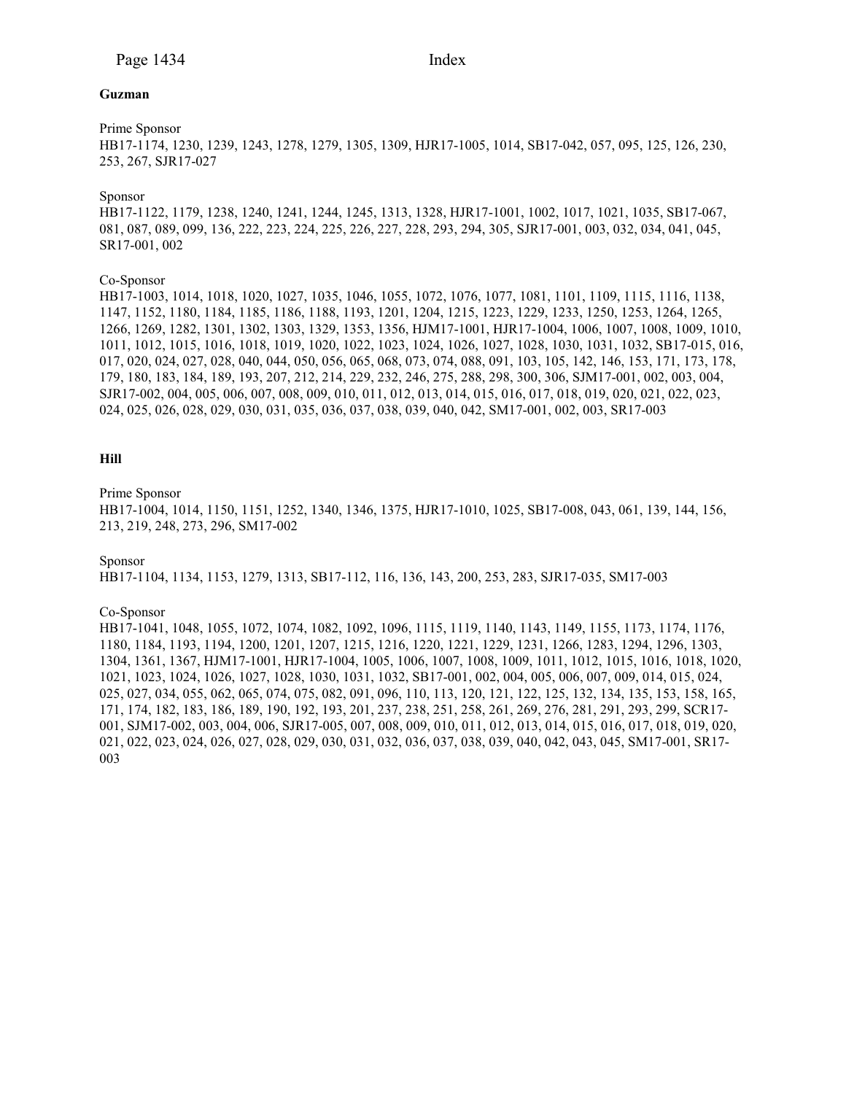### **Guzman**

# Prime Sponsor

HB17-1174, 1230, 1239, 1243, 1278, 1279, 1305, 1309, HJR17-1005, 1014, SB17-042, 057, 095, 125, 126, 230, 253, 267, SJR17-027

# Sponsor

HB17-1122, 1179, 1238, 1240, 1241, 1244, 1245, 1313, 1328, HJR17-1001, 1002, 1017, 1021, 1035, SB17-067, 081, 087, 089, 099, 136, 222, 223, 224, 225, 226, 227, 228, 293, 294, 305, SJR17-001, 003, 032, 034, 041, 045, SR17-001, 002

# Co-Sponsor

HB17-1003, 1014, 1018, 1020, 1027, 1035, 1046, 1055, 1072, 1076, 1077, 1081, 1101, 1109, 1115, 1116, 1138, 1147, 1152, 1180, 1184, 1185, 1186, 1188, 1193, 1201, 1204, 1215, 1223, 1229, 1233, 1250, 1253, 1264, 1265, 1266, 1269, 1282, 1301, 1302, 1303, 1329, 1353, 1356, HJM17-1001, HJR17-1004, 1006, 1007, 1008, 1009, 1010, 1011, 1012, 1015, 1016, 1018, 1019, 1020, 1022, 1023, 1024, 1026, 1027, 1028, 1030, 1031, 1032, SB17-015, 016, 017, 020, 024, 027, 028, 040, 044, 050, 056, 065, 068, 073, 074, 088, 091, 103, 105, 142, 146, 153, 171, 173, 178, 179, 180, 183, 184, 189, 193, 207, 212, 214, 229, 232, 246, 275, 288, 298, 300, 306, SJM17-001, 002, 003, 004, SJR17-002, 004, 005, 006, 007, 008, 009, 010, 011, 012, 013, 014, 015, 016, 017, 018, 019, 020, 021, 022, 023, 024, 025, 026, 028, 029, 030, 031, 035, 036, 037, 038, 039, 040, 042, SM17-001, 002, 003, SR17-003

# **Hill**

#### Prime Sponsor

HB17-1004, 1014, 1150, 1151, 1252, 1340, 1346, 1375, HJR17-1010, 1025, SB17-008, 043, 061, 139, 144, 156, 213, 219, 248, 273, 296, SM17-002

#### Sponsor

HB17-1104, 1134, 1153, 1279, 1313, SB17-112, 116, 136, 143, 200, 253, 283, SJR17-035, SM17-003

#### Co-Sponsor

HB17-1041, 1048, 1055, 1072, 1074, 1082, 1092, 1096, 1115, 1119, 1140, 1143, 1149, 1155, 1173, 1174, 1176, 1180, 1184, 1193, 1194, 1200, 1201, 1207, 1215, 1216, 1220, 1221, 1229, 1231, 1266, 1283, 1294, 1296, 1303, 1304, 1361, 1367, HJM17-1001, HJR17-1004, 1005, 1006, 1007, 1008, 1009, 1011, 1012, 1015, 1016, 1018, 1020, 1021, 1023, 1024, 1026, 1027, 1028, 1030, 1031, 1032, SB17-001, 002, 004, 005, 006, 007, 009, 014, 015, 024, 025, 027, 034, 055, 062, 065, 074, 075, 082, 091, 096, 110, 113, 120, 121, 122, 125, 132, 134, 135, 153, 158, 165, 171, 174, 182, 183, 186, 189, 190, 192, 193, 201, 237, 238, 251, 258, 261, 269, 276, 281, 291, 293, 299, SCR17- 001, SJM17-002, 003, 004, 006, SJR17-005, 007, 008, 009, 010, 011, 012, 013, 014, 015, 016, 017, 018, 019, 020, 021, 022, 023, 024, 026, 027, 028, 029, 030, 031, 032, 036, 037, 038, 039, 040, 042, 043, 045, SM17-001, SR17- 003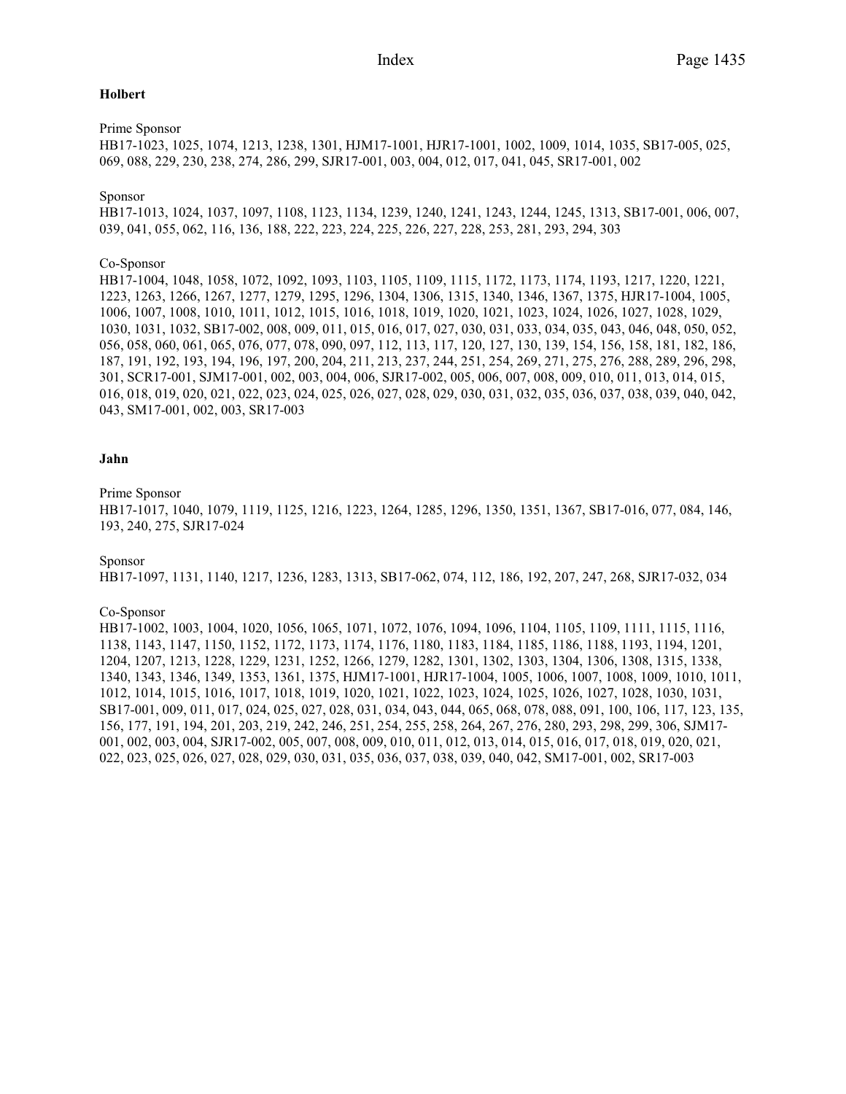# **Holbert**

# Prime Sponsor

HB17-1023, 1025, 1074, 1213, 1238, 1301, HJM17-1001, HJR17-1001, 1002, 1009, 1014, 1035, SB17-005, 025, 069, 088, 229, 230, 238, 274, 286, 299, SJR17-001, 003, 004, 012, 017, 041, 045, SR17-001, 002

# Sponsor

HB17-1013, 1024, 1037, 1097, 1108, 1123, 1134, 1239, 1240, 1241, 1243, 1244, 1245, 1313, SB17-001, 006, 007, 039, 041, 055, 062, 116, 136, 188, 222, 223, 224, 225, 226, 227, 228, 253, 281, 293, 294, 303

# Co-Sponsor

HB17-1004, 1048, 1058, 1072, 1092, 1093, 1103, 1105, 1109, 1115, 1172, 1173, 1174, 1193, 1217, 1220, 1221, 1223, 1263, 1266, 1267, 1277, 1279, 1295, 1296, 1304, 1306, 1315, 1340, 1346, 1367, 1375, HJR17-1004, 1005, 1006, 1007, 1008, 1010, 1011, 1012, 1015, 1016, 1018, 1019, 1020, 1021, 1023, 1024, 1026, 1027, 1028, 1029, 1030, 1031, 1032, SB17-002, 008, 009, 011, 015, 016, 017, 027, 030, 031, 033, 034, 035, 043, 046, 048, 050, 052, 056, 058, 060, 061, 065, 076, 077, 078, 090, 097, 112, 113, 117, 120, 127, 130, 139, 154, 156, 158, 181, 182, 186, 187, 191, 192, 193, 194, 196, 197, 200, 204, 211, 213, 237, 244, 251, 254, 269, 271, 275, 276, 288, 289, 296, 298, 301, SCR17-001, SJM17-001, 002, 003, 004, 006, SJR17-002, 005, 006, 007, 008, 009, 010, 011, 013, 014, 015, 016, 018, 019, 020, 021, 022, 023, 024, 025, 026, 027, 028, 029, 030, 031, 032, 035, 036, 037, 038, 039, 040, 042, 043, SM17-001, 002, 003, SR17-003

# **Jahn**

# Prime Sponsor

HB17-1017, 1040, 1079, 1119, 1125, 1216, 1223, 1264, 1285, 1296, 1350, 1351, 1367, SB17-016, 077, 084, 146, 193, 240, 275, SJR17-024

#### Sponsor

HB17-1097, 1131, 1140, 1217, 1236, 1283, 1313, SB17-062, 074, 112, 186, 192, 207, 247, 268, SJR17-032, 034

# Co-Sponsor

HB17-1002, 1003, 1004, 1020, 1056, 1065, 1071, 1072, 1076, 1094, 1096, 1104, 1105, 1109, 1111, 1115, 1116, 1138, 1143, 1147, 1150, 1152, 1172, 1173, 1174, 1176, 1180, 1183, 1184, 1185, 1186, 1188, 1193, 1194, 1201, 1204, 1207, 1213, 1228, 1229, 1231, 1252, 1266, 1279, 1282, 1301, 1302, 1303, 1304, 1306, 1308, 1315, 1338, 1340, 1343, 1346, 1349, 1353, 1361, 1375, HJM17-1001, HJR17-1004, 1005, 1006, 1007, 1008, 1009, 1010, 1011, 1012, 1014, 1015, 1016, 1017, 1018, 1019, 1020, 1021, 1022, 1023, 1024, 1025, 1026, 1027, 1028, 1030, 1031, SB17-001, 009, 011, 017, 024, 025, 027, 028, 031, 034, 043, 044, 065, 068, 078, 088, 091, 100, 106, 117, 123, 135, 156, 177, 191, 194, 201, 203, 219, 242, 246, 251, 254, 255, 258, 264, 267, 276, 280, 293, 298, 299, 306, SJM17- 001, 002, 003, 004, SJR17-002, 005, 007, 008, 009, 010, 011, 012, 013, 014, 015, 016, 017, 018, 019, 020, 021, 022, 023, 025, 026, 027, 028, 029, 030, 031, 035, 036, 037, 038, 039, 040, 042, SM17-001, 002, SR17-003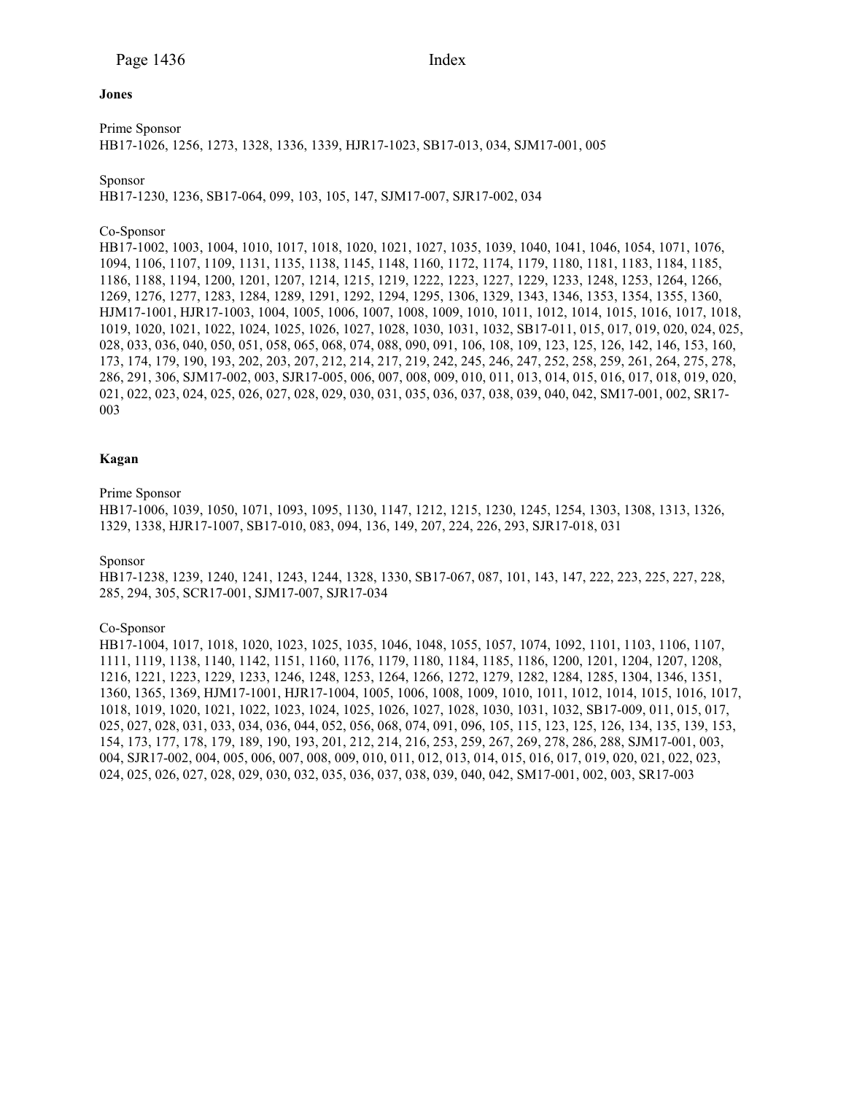## **Jones**

Prime Sponsor HB17-1026, 1256, 1273, 1328, 1336, 1339, HJR17-1023, SB17-013, 034, SJM17-001, 005

# Sponsor

HB17-1230, 1236, SB17-064, 099, 103, 105, 147, SJM17-007, SJR17-002, 034

# Co-Sponsor

HB17-1002, 1003, 1004, 1010, 1017, 1018, 1020, 1021, 1027, 1035, 1039, 1040, 1041, 1046, 1054, 1071, 1076, 1094, 1106, 1107, 1109, 1131, 1135, 1138, 1145, 1148, 1160, 1172, 1174, 1179, 1180, 1181, 1183, 1184, 1185, 1186, 1188, 1194, 1200, 1201, 1207, 1214, 1215, 1219, 1222, 1223, 1227, 1229, 1233, 1248, 1253, 1264, 1266, 1269, 1276, 1277, 1283, 1284, 1289, 1291, 1292, 1294, 1295, 1306, 1329, 1343, 1346, 1353, 1354, 1355, 1360, HJM17-1001, HJR17-1003, 1004, 1005, 1006, 1007, 1008, 1009, 1010, 1011, 1012, 1014, 1015, 1016, 1017, 1018, 1019, 1020, 1021, 1022, 1024, 1025, 1026, 1027, 1028, 1030, 1031, 1032, SB17-011, 015, 017, 019, 020, 024, 025, 028, 033, 036, 040, 050, 051, 058, 065, 068, 074, 088, 090, 091, 106, 108, 109, 123, 125, 126, 142, 146, 153, 160, 173, 174, 179, 190, 193, 202, 203, 207, 212, 214, 217, 219, 242, 245, 246, 247, 252, 258, 259, 261, 264, 275, 278, 286, 291, 306, SJM17-002, 003, SJR17-005, 006, 007, 008, 009, 010, 011, 013, 014, 015, 016, 017, 018, 019, 020, 021, 022, 023, 024, 025, 026, 027, 028, 029, 030, 031, 035, 036, 037, 038, 039, 040, 042, SM17-001, 002, SR17- 003

# **Kagan**

# Prime Sponsor

HB17-1006, 1039, 1050, 1071, 1093, 1095, 1130, 1147, 1212, 1215, 1230, 1245, 1254, 1303, 1308, 1313, 1326, 1329, 1338, HJR17-1007, SB17-010, 083, 094, 136, 149, 207, 224, 226, 293, SJR17-018, 031

#### Sponsor

HB17-1238, 1239, 1240, 1241, 1243, 1244, 1328, 1330, SB17-067, 087, 101, 143, 147, 222, 223, 225, 227, 228, 285, 294, 305, SCR17-001, SJM17-007, SJR17-034

# Co-Sponsor

HB17-1004, 1017, 1018, 1020, 1023, 1025, 1035, 1046, 1048, 1055, 1057, 1074, 1092, 1101, 1103, 1106, 1107, 1111, 1119, 1138, 1140, 1142, 1151, 1160, 1176, 1179, 1180, 1184, 1185, 1186, 1200, 1201, 1204, 1207, 1208, 1216, 1221, 1223, 1229, 1233, 1246, 1248, 1253, 1264, 1266, 1272, 1279, 1282, 1284, 1285, 1304, 1346, 1351, 1360, 1365, 1369, HJM17-1001, HJR17-1004, 1005, 1006, 1008, 1009, 1010, 1011, 1012, 1014, 1015, 1016, 1017, 1018, 1019, 1020, 1021, 1022, 1023, 1024, 1025, 1026, 1027, 1028, 1030, 1031, 1032, SB17-009, 011, 015, 017, 025, 027, 028, 031, 033, 034, 036, 044, 052, 056, 068, 074, 091, 096, 105, 115, 123, 125, 126, 134, 135, 139, 153, 154, 173, 177, 178, 179, 189, 190, 193, 201, 212, 214, 216, 253, 259, 267, 269, 278, 286, 288, SJM17-001, 003, 004, SJR17-002, 004, 005, 006, 007, 008, 009, 010, 011, 012, 013, 014, 015, 016, 017, 019, 020, 021, 022, 023, 024, 025, 026, 027, 028, 029, 030, 032, 035, 036, 037, 038, 039, 040, 042, SM17-001, 002, 003, SR17-003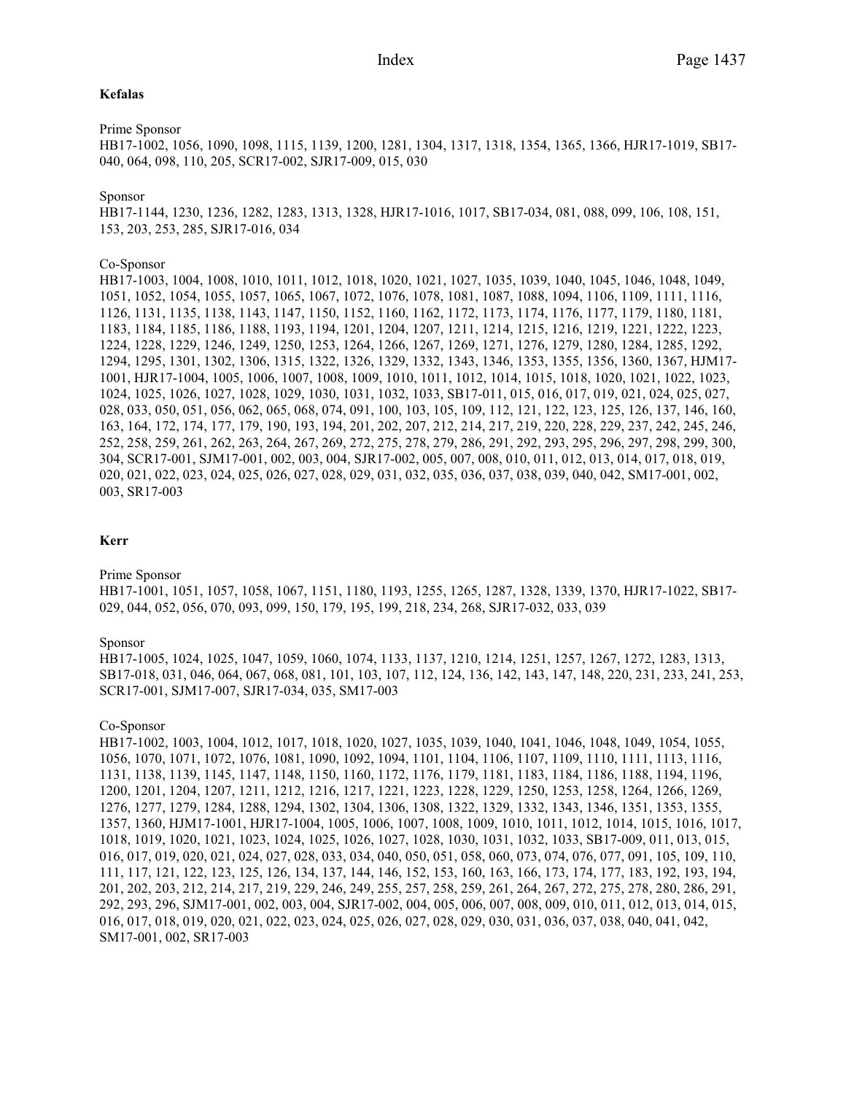# **Kefalas**

#### Prime Sponsor

HB17-1002, 1056, 1090, 1098, 1115, 1139, 1200, 1281, 1304, 1317, 1318, 1354, 1365, 1366, HJR17-1019, SB17- 040, 064, 098, 110, 205, SCR17-002, SJR17-009, 015, 030

#### Sponsor

HB17-1144, 1230, 1236, 1282, 1283, 1313, 1328, HJR17-1016, 1017, SB17-034, 081, 088, 099, 106, 108, 151, 153, 203, 253, 285, SJR17-016, 034

#### Co-Sponsor

HB17-1003, 1004, 1008, 1010, 1011, 1012, 1018, 1020, 1021, 1027, 1035, 1039, 1040, 1045, 1046, 1048, 1049, 1051, 1052, 1054, 1055, 1057, 1065, 1067, 1072, 1076, 1078, 1081, 1087, 1088, 1094, 1106, 1109, 1111, 1116, 1126, 1131, 1135, 1138, 1143, 1147, 1150, 1152, 1160, 1162, 1172, 1173, 1174, 1176, 1177, 1179, 1180, 1181, 1183, 1184, 1185, 1186, 1188, 1193, 1194, 1201, 1204, 1207, 1211, 1214, 1215, 1216, 1219, 1221, 1222, 1223, 1224, 1228, 1229, 1246, 1249, 1250, 1253, 1264, 1266, 1267, 1269, 1271, 1276, 1279, 1280, 1284, 1285, 1292, 1294, 1295, 1301, 1302, 1306, 1315, 1322, 1326, 1329, 1332, 1343, 1346, 1353, 1355, 1356, 1360, 1367, HJM17- 1001, HJR17-1004, 1005, 1006, 1007, 1008, 1009, 1010, 1011, 1012, 1014, 1015, 1018, 1020, 1021, 1022, 1023, 1024, 1025, 1026, 1027, 1028, 1029, 1030, 1031, 1032, 1033, SB17-011, 015, 016, 017, 019, 021, 024, 025, 027, 028, 033, 050, 051, 056, 062, 065, 068, 074, 091, 100, 103, 105, 109, 112, 121, 122, 123, 125, 126, 137, 146, 160, 163, 164, 172, 174, 177, 179, 190, 193, 194, 201, 202, 207, 212, 214, 217, 219, 220, 228, 229, 237, 242, 245, 246, 252, 258, 259, 261, 262, 263, 264, 267, 269, 272, 275, 278, 279, 286, 291, 292, 293, 295, 296, 297, 298, 299, 300, 304, SCR17-001, SJM17-001, 002, 003, 004, SJR17-002, 005, 007, 008, 010, 011, 012, 013, 014, 017, 018, 019, 020, 021, 022, 023, 024, 025, 026, 027, 028, 029, 031, 032, 035, 036, 037, 038, 039, 040, 042, SM17-001, 002, 003, SR17-003

# **Kerr**

Prime Sponsor

HB17-1001, 1051, 1057, 1058, 1067, 1151, 1180, 1193, 1255, 1265, 1287, 1328, 1339, 1370, HJR17-1022, SB17- 029, 044, 052, 056, 070, 093, 099, 150, 179, 195, 199, 218, 234, 268, SJR17-032, 033, 039

#### Sponsor

HB17-1005, 1024, 1025, 1047, 1059, 1060, 1074, 1133, 1137, 1210, 1214, 1251, 1257, 1267, 1272, 1283, 1313, SB17-018, 031, 046, 064, 067, 068, 081, 101, 103, 107, 112, 124, 136, 142, 143, 147, 148, 220, 231, 233, 241, 253, SCR17-001, SJM17-007, SJR17-034, 035, SM17-003

#### Co-Sponsor

HB17-1002, 1003, 1004, 1012, 1017, 1018, 1020, 1027, 1035, 1039, 1040, 1041, 1046, 1048, 1049, 1054, 1055, 1056, 1070, 1071, 1072, 1076, 1081, 1090, 1092, 1094, 1101, 1104, 1106, 1107, 1109, 1110, 1111, 1113, 1116, 1131, 1138, 1139, 1145, 1147, 1148, 1150, 1160, 1172, 1176, 1179, 1181, 1183, 1184, 1186, 1188, 1194, 1196, 1200, 1201, 1204, 1207, 1211, 1212, 1216, 1217, 1221, 1223, 1228, 1229, 1250, 1253, 1258, 1264, 1266, 1269, 1276, 1277, 1279, 1284, 1288, 1294, 1302, 1304, 1306, 1308, 1322, 1329, 1332, 1343, 1346, 1351, 1353, 1355, 1357, 1360, HJM17-1001, HJR17-1004, 1005, 1006, 1007, 1008, 1009, 1010, 1011, 1012, 1014, 1015, 1016, 1017, 1018, 1019, 1020, 1021, 1023, 1024, 1025, 1026, 1027, 1028, 1030, 1031, 1032, 1033, SB17-009, 011, 013, 015, 016, 017, 019, 020, 021, 024, 027, 028, 033, 034, 040, 050, 051, 058, 060, 073, 074, 076, 077, 091, 105, 109, 110, 111, 117, 121, 122, 123, 125, 126, 134, 137, 144, 146, 152, 153, 160, 163, 166, 173, 174, 177, 183, 192, 193, 194, 201, 202, 203, 212, 214, 217, 219, 229, 246, 249, 255, 257, 258, 259, 261, 264, 267, 272, 275, 278, 280, 286, 291, 292, 293, 296, SJM17-001, 002, 003, 004, SJR17-002, 004, 005, 006, 007, 008, 009, 010, 011, 012, 013, 014, 015, 016, 017, 018, 019, 020, 021, 022, 023, 024, 025, 026, 027, 028, 029, 030, 031, 036, 037, 038, 040, 041, 042, SM17-001, 002, SR17-003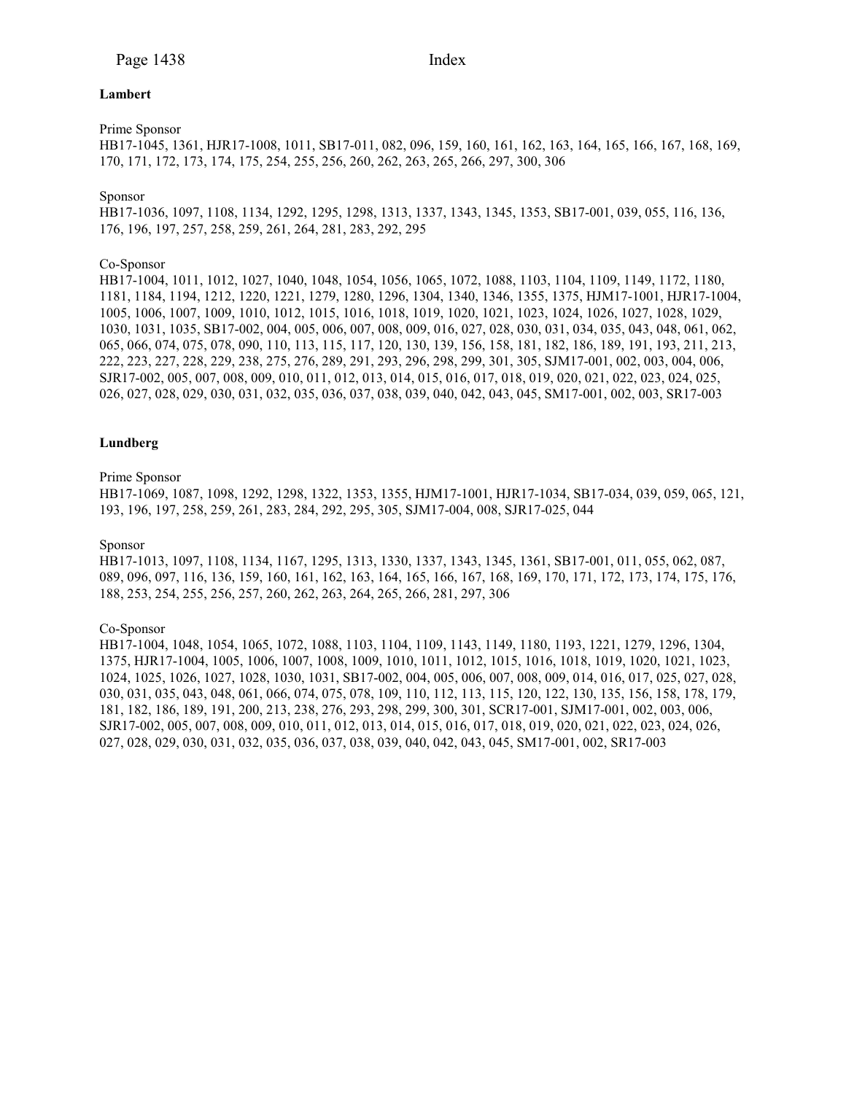#### **Lambert**

# Prime Sponsor

HB17-1045, 1361, HJR17-1008, 1011, SB17-011, 082, 096, 159, 160, 161, 162, 163, 164, 165, 166, 167, 168, 169, 170, 171, 172, 173, 174, 175, 254, 255, 256, 260, 262, 263, 265, 266, 297, 300, 306

#### Sponsor

HB17-1036, 1097, 1108, 1134, 1292, 1295, 1298, 1313, 1337, 1343, 1345, 1353, SB17-001, 039, 055, 116, 136, 176, 196, 197, 257, 258, 259, 261, 264, 281, 283, 292, 295

# Co-Sponsor

HB17-1004, 1011, 1012, 1027, 1040, 1048, 1054, 1056, 1065, 1072, 1088, 1103, 1104, 1109, 1149, 1172, 1180, 1181, 1184, 1194, 1212, 1220, 1221, 1279, 1280, 1296, 1304, 1340, 1346, 1355, 1375, HJM17-1001, HJR17-1004, 1005, 1006, 1007, 1009, 1010, 1012, 1015, 1016, 1018, 1019, 1020, 1021, 1023, 1024, 1026, 1027, 1028, 1029, 1030, 1031, 1035, SB17-002, 004, 005, 006, 007, 008, 009, 016, 027, 028, 030, 031, 034, 035, 043, 048, 061, 062, 065, 066, 074, 075, 078, 090, 110, 113, 115, 117, 120, 130, 139, 156, 158, 181, 182, 186, 189, 191, 193, 211, 213, 222, 223, 227, 228, 229, 238, 275, 276, 289, 291, 293, 296, 298, 299, 301, 305, SJM17-001, 002, 003, 004, 006, SJR17-002, 005, 007, 008, 009, 010, 011, 012, 013, 014, 015, 016, 017, 018, 019, 020, 021, 022, 023, 024, 025, 026, 027, 028, 029, 030, 031, 032, 035, 036, 037, 038, 039, 040, 042, 043, 045, SM17-001, 002, 003, SR17-003

# **Lundberg**

#### Prime Sponsor

HB17-1069, 1087, 1098, 1292, 1298, 1322, 1353, 1355, HJM17-1001, HJR17-1034, SB17-034, 039, 059, 065, 121, 193, 196, 197, 258, 259, 261, 283, 284, 292, 295, 305, SJM17-004, 008, SJR17-025, 044

#### Sponsor

HB17-1013, 1097, 1108, 1134, 1167, 1295, 1313, 1330, 1337, 1343, 1345, 1361, SB17-001, 011, 055, 062, 087, 089, 096, 097, 116, 136, 159, 160, 161, 162, 163, 164, 165, 166, 167, 168, 169, 170, 171, 172, 173, 174, 175, 176, 188, 253, 254, 255, 256, 257, 260, 262, 263, 264, 265, 266, 281, 297, 306

#### Co-Sponsor

HB17-1004, 1048, 1054, 1065, 1072, 1088, 1103, 1104, 1109, 1143, 1149, 1180, 1193, 1221, 1279, 1296, 1304, 1375, HJR17-1004, 1005, 1006, 1007, 1008, 1009, 1010, 1011, 1012, 1015, 1016, 1018, 1019, 1020, 1021, 1023, 1024, 1025, 1026, 1027, 1028, 1030, 1031, SB17-002, 004, 005, 006, 007, 008, 009, 014, 016, 017, 025, 027, 028, 030, 031, 035, 043, 048, 061, 066, 074, 075, 078, 109, 110, 112, 113, 115, 120, 122, 130, 135, 156, 158, 178, 179, 181, 182, 186, 189, 191, 200, 213, 238, 276, 293, 298, 299, 300, 301, SCR17-001, SJM17-001, 002, 003, 006, SJR17-002, 005, 007, 008, 009, 010, 011, 012, 013, 014, 015, 016, 017, 018, 019, 020, 021, 022, 023, 024, 026, 027, 028, 029, 030, 031, 032, 035, 036, 037, 038, 039, 040, 042, 043, 045, SM17-001, 002, SR17-003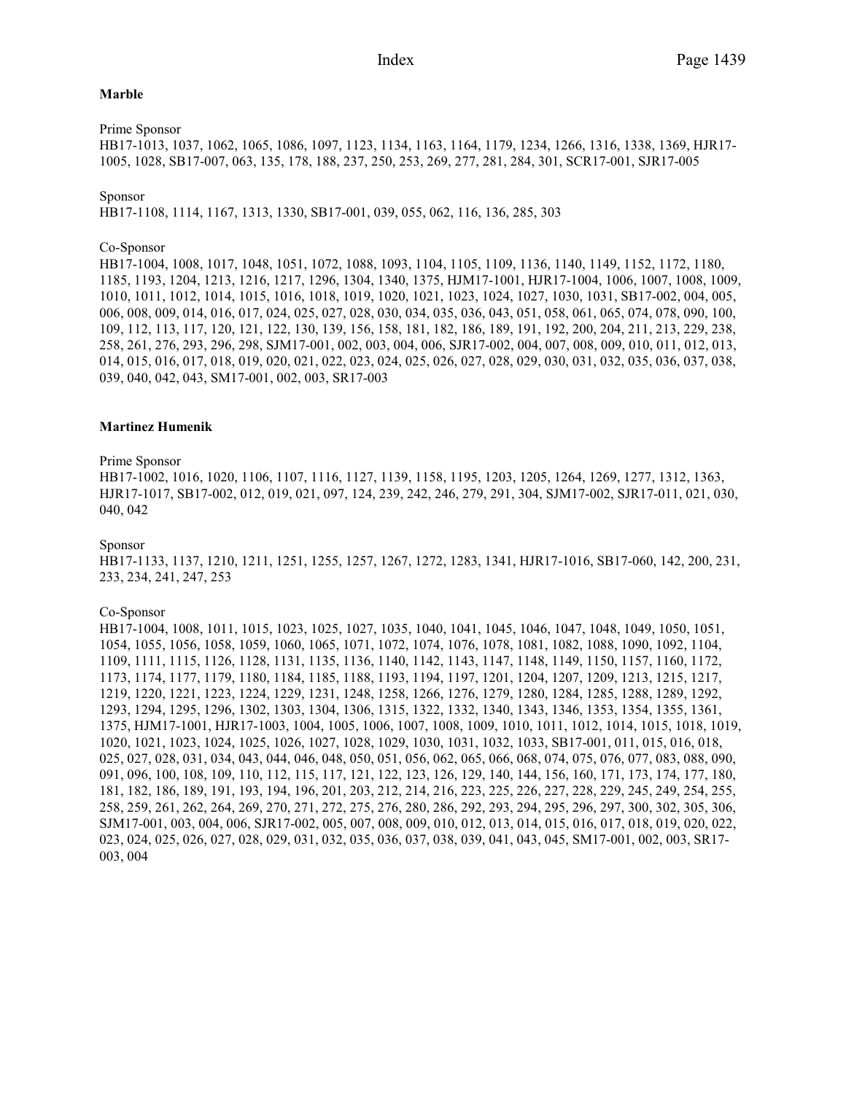#### **Marble**

Prime Sponsor

HB17-1013, 1037, 1062, 1065, 1086, 1097, 1123, 1134, 1163, 1164, 1179, 1234, 1266, 1316, 1338, 1369, HJR17- 1005, 1028, SB17-007, 063, 135, 178, 188, 237, 250, 253, 269, 277, 281, 284, 301, SCR17-001, SJR17-005

#### Sponsor

HB17-1108, 1114, 1167, 1313, 1330, SB17-001, 039, 055, 062, 116, 136, 285, 303

#### Co-Sponsor

HB17-1004, 1008, 1017, 1048, 1051, 1072, 1088, 1093, 1104, 1105, 1109, 1136, 1140, 1149, 1152, 1172, 1180, 1185, 1193, 1204, 1213, 1216, 1217, 1296, 1304, 1340, 1375, HJM17-1001, HJR17-1004, 1006, 1007, 1008, 1009, 1010, 1011, 1012, 1014, 1015, 1016, 1018, 1019, 1020, 1021, 1023, 1024, 1027, 1030, 1031, SB17-002, 004, 005, 006, 008, 009, 014, 016, 017, 024, 025, 027, 028, 030, 034, 035, 036, 043, 051, 058, 061, 065, 074, 078, 090, 100, 109, 112, 113, 117, 120, 121, 122, 130, 139, 156, 158, 181, 182, 186, 189, 191, 192, 200, 204, 211, 213, 229, 238, 258, 261, 276, 293, 296, 298, SJM17-001, 002, 003, 004, 006, SJR17-002, 004, 007, 008, 009, 010, 011, 012, 013, 014, 015, 016, 017, 018, 019, 020, 021, 022, 023, 024, 025, 026, 027, 028, 029, 030, 031, 032, 035, 036, 037, 038, 039, 040, 042, 043, SM17-001, 002, 003, SR17-003

#### **Martinez Humenik**

#### Prime Sponsor

HB17-1002, 1016, 1020, 1106, 1107, 1116, 1127, 1139, 1158, 1195, 1203, 1205, 1264, 1269, 1277, 1312, 1363, HJR17-1017, SB17-002, 012, 019, 021, 097, 124, 239, 242, 246, 279, 291, 304, SJM17-002, SJR17-011, 021, 030, 040, 042

#### Sponsor

HB17-1133, 1137, 1210, 1211, 1251, 1255, 1257, 1267, 1272, 1283, 1341, HJR17-1016, SB17-060, 142, 200, 231, 233, 234, 241, 247, 253

#### Co-Sponsor

HB17-1004, 1008, 1011, 1015, 1023, 1025, 1027, 1035, 1040, 1041, 1045, 1046, 1047, 1048, 1049, 1050, 1051, 1054, 1055, 1056, 1058, 1059, 1060, 1065, 1071, 1072, 1074, 1076, 1078, 1081, 1082, 1088, 1090, 1092, 1104, 1109, 1111, 1115, 1126, 1128, 1131, 1135, 1136, 1140, 1142, 1143, 1147, 1148, 1149, 1150, 1157, 1160, 1172, 1173, 1174, 1177, 1179, 1180, 1184, 1185, 1188, 1193, 1194, 1197, 1201, 1204, 1207, 1209, 1213, 1215, 1217, 1219, 1220, 1221, 1223, 1224, 1229, 1231, 1248, 1258, 1266, 1276, 1279, 1280, 1284, 1285, 1288, 1289, 1292, 1293, 1294, 1295, 1296, 1302, 1303, 1304, 1306, 1315, 1322, 1332, 1340, 1343, 1346, 1353, 1354, 1355, 1361, 1375, HJM17-1001, HJR17-1003, 1004, 1005, 1006, 1007, 1008, 1009, 1010, 1011, 1012, 1014, 1015, 1018, 1019, 1020, 1021, 1023, 1024, 1025, 1026, 1027, 1028, 1029, 1030, 1031, 1032, 1033, SB17-001, 011, 015, 016, 018, 025, 027, 028, 031, 034, 043, 044, 046, 048, 050, 051, 056, 062, 065, 066, 068, 074, 075, 076, 077, 083, 088, 090, 091, 096, 100, 108, 109, 110, 112, 115, 117, 121, 122, 123, 126, 129, 140, 144, 156, 160, 171, 173, 174, 177, 180, 181, 182, 186, 189, 191, 193, 194, 196, 201, 203, 212, 214, 216, 223, 225, 226, 227, 228, 229, 245, 249, 254, 255, 258, 259, 261, 262, 264, 269, 270, 271, 272, 275, 276, 280, 286, 292, 293, 294, 295, 296, 297, 300, 302, 305, 306, SJM17-001, 003, 004, 006, SJR17-002, 005, 007, 008, 009, 010, 012, 013, 014, 015, 016, 017, 018, 019, 020, 022, 023, 024, 025, 026, 027, 028, 029, 031, 032, 035, 036, 037, 038, 039, 041, 043, 045, SM17-001, 002, 003, SR17- 003, 004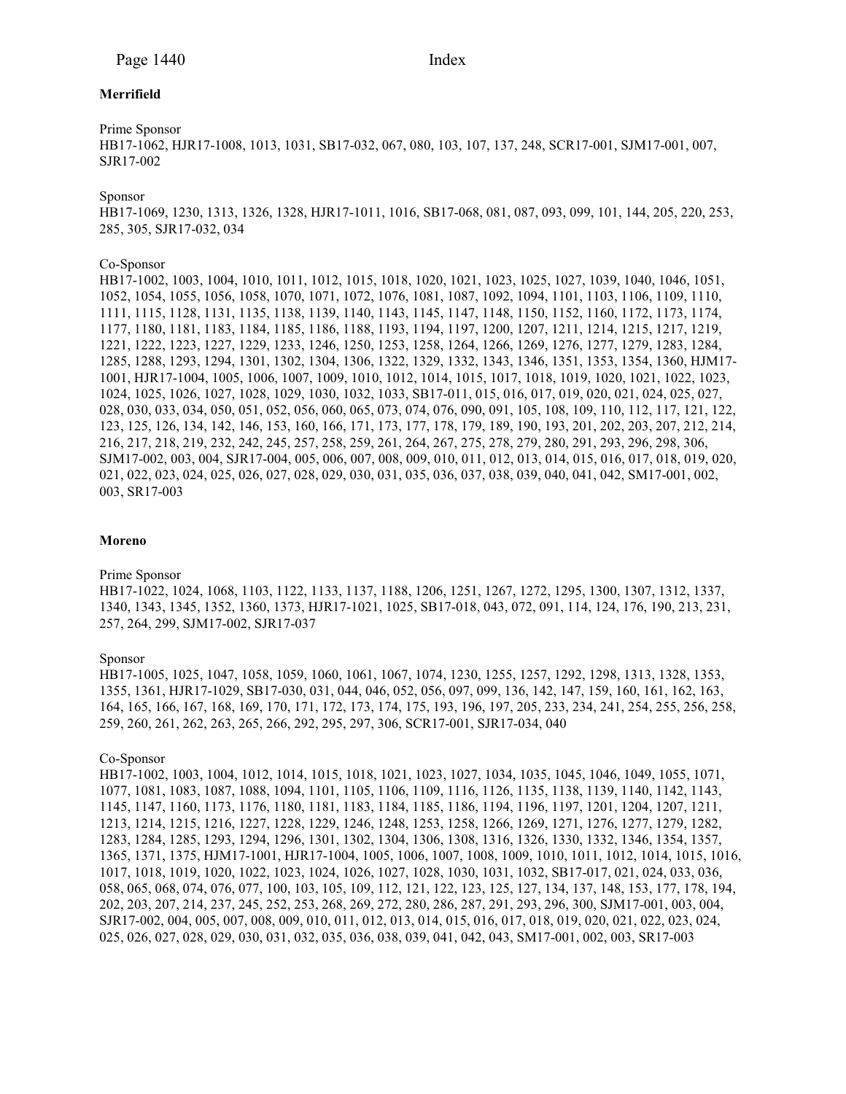# **Merrifield**

# Prime Sponsor

HB17-1062, HJR17-1008, 1013, 1031, SB17-032, 067, 080, 103, 107, 137, 248, SCR17-001, SJM17-001, 007, SJR17-002

Sponsor

HB17-1069, 1230, 1313, 1326, 1328, HJR17-1011, 1016, SB17-068, 081, 087, 093, 099, 101, 144, 205, 220, 253, 285, 305, SJR17-032, 034

# Co-Sponsor

HB17-1002, 1003, 1004, 1010, 1011, 1012, 1015, 1018, 1020, 1021, 1023, 1025, 1027, 1039, 1040, 1046, 1051, 1052, 1054, 1055, 1056, 1058, 1070, 1071, 1072, 1076, 1081, 1087, 1092, 1094, 1101, 1103, 1106, 1109, 1110, 1111, 1115, 1128, 1131, 1135, 1138, 1139, 1140, 1143, 1145, 1147, 1148, 1150, 1152, 1160, 1172, 1173, 1174, 1177, 1180, 1181, 1183, 1184, 1185, 1186, 1188, 1193, 1194, 1197, 1200, 1207, 1211, 1214, 1215, 1217, 1219, 1221, 1222, 1223, 1227, 1229, 1233, 1246, 1250, 1253, 1258, 1264, 1266, 1269, 1276, 1277, 1279, 1283, 1284, 1285, 1288, 1293, 1294, 1301, 1302, 1304, 1306, 1322, 1329, 1332, 1343, 1346, 1351, 1353, 1354, 1360, HJM17- 1001, HJR17-1004, 1005, 1006, 1007, 1009, 1010, 1012, 1014, 1015, 1017, 1018, 1019, 1020, 1021, 1022, 1023, 1024, 1025, 1026, 1027, 1028, 1029, 1030, 1032, 1033, SB17-011, 015, 016, 017, 019, 020, 021, 024, 025, 027, 028, 030, 033, 034, 050, 051, 052, 056, 060, 065, 073, 074, 076, 090, 091, 105, 108, 109, 110, 112, 117, 121, 122, 123, 125, 126, 134, 142, 146, 153, 160, 166, 171, 173, 177, 178, 179, 189, 190, 193, 201, 202, 203, 207, 212, 214, 216, 217, 218, 219, 232, 242, 245, 257, 258, 259, 261, 264, 267, 275, 278, 279, 280, 291, 293, 296, 298, 306, SJM17-002, 003, 004, SJR17-004, 005, 006, 007, 008, 009, 010, 011, 012, 013, 014, 015, 016, 017, 018, 019, 020, 021, 022, 023, 024, 025, 026, 027, 028, 029, 030, 031, 035, 036, 037, 038, 039, 040, 041, 042, SM17-001, 002, 003, SR17-003

#### **Moreno**

#### Prime Sponsor

HB17-1022, 1024, 1068, 1103, 1122, 1133, 1137, 1188, 1206, 1251, 1267, 1272, 1295, 1300, 1307, 1312, 1337, 1340, 1343, 1345, 1352, 1360, 1373, HJR17-1021, 1025, SB17-018, 043, 072, 091, 114, 124, 176, 190, 213, 231, 257, 264, 299, SJM17-002, SJR17-037

# Sponsor

HB17-1005, 1025, 1047, 1058, 1059, 1060, 1061, 1067, 1074, 1230, 1255, 1257, 1292, 1298, 1313, 1328, 1353, 1355, 1361, HJR17-1029, SB17-030, 031, 044, 046, 052, 056, 097, 099, 136, 142, 147, 159, 160, 161, 162, 163, 164, 165, 166, 167, 168, 169, 170, 171, 172, 173, 174, 175, 193, 196, 197, 205, 233, 234, 241, 254, 255, 256, 258, 259, 260, 261, 262, 263, 265, 266, 292, 295, 297, 306, SCR17-001, SJR17-034, 040

#### Co-Sponsor

HB17-1002, 1003, 1004, 1012, 1014, 1015, 1018, 1021, 1023, 1027, 1034, 1035, 1045, 1046, 1049, 1055, 1071, 1077, 1081, 1083, 1087, 1088, 1094, 1101, 1105, 1106, 1109, 1116, 1126, 1135, 1138, 1139, 1140, 1142, 1143, 1145, 1147, 1160, 1173, 1176, 1180, 1181, 1183, 1184, 1185, 1186, 1194, 1196, 1197, 1201, 1204, 1207, 1211, 1213, 1214, 1215, 1216, 1227, 1228, 1229, 1246, 1248, 1253, 1258, 1266, 1269, 1271, 1276, 1277, 1279, 1282, 1283, 1284, 1285, 1293, 1294, 1296, 1301, 1302, 1304, 1306, 1308, 1316, 1326, 1330, 1332, 1346, 1354, 1357, 1365, 1371, 1375, HJM17-1001, HJR17-1004, 1005, 1006, 1007, 1008, 1009, 1010, 1011, 1012, 1014, 1015, 1016, 1017, 1018, 1019, 1020, 1022, 1023, 1024, 1026, 1027, 1028, 1030, 1031, 1032, SB17-017, 021, 024, 033, 036, 058, 065, 068, 074, 076, 077, 100, 103, 105, 109, 112, 121, 122, 123, 125, 127, 134, 137, 148, 153, 177, 178, 194, 202, 203, 207, 214, 237, 245, 252, 253, 268, 269, 272, 280, 286, 287, 291, 293, 296, 300, SJM17-001, 003, 004, SJR17-002, 004, 005, 007, 008, 009, 010, 011, 012, 013, 014, 015, 016, 017, 018, 019, 020, 021, 022, 023, 024, 025, 026, 027, 028, 029, 030, 031, 032, 035, 036, 038, 039, 041, 042, 043, SM17-001, 002, 003, SR17-003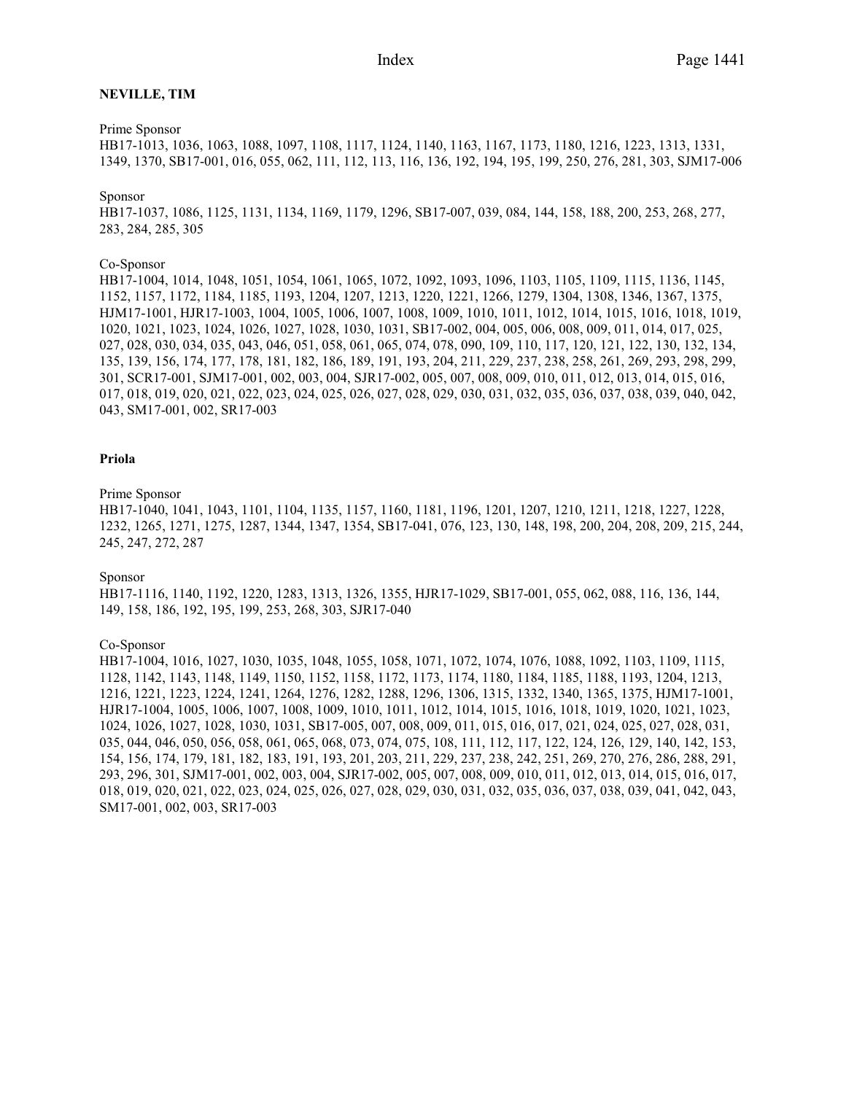#### **NEVILLE, TIM**

### Prime Sponsor

HB17-1013, 1036, 1063, 1088, 1097, 1108, 1117, 1124, 1140, 1163, 1167, 1173, 1180, 1216, 1223, 1313, 1331, 1349, 1370, SB17-001, 016, 055, 062, 111, 112, 113, 116, 136, 192, 194, 195, 199, 250, 276, 281, 303, SJM17-006

#### Sponsor

HB17-1037, 1086, 1125, 1131, 1134, 1169, 1179, 1296, SB17-007, 039, 084, 144, 158, 188, 200, 253, 268, 277, 283, 284, 285, 305

#### Co-Sponsor

HB17-1004, 1014, 1048, 1051, 1054, 1061, 1065, 1072, 1092, 1093, 1096, 1103, 1105, 1109, 1115, 1136, 1145, 1152, 1157, 1172, 1184, 1185, 1193, 1204, 1207, 1213, 1220, 1221, 1266, 1279, 1304, 1308, 1346, 1367, 1375, HJM17-1001, HJR17-1003, 1004, 1005, 1006, 1007, 1008, 1009, 1010, 1011, 1012, 1014, 1015, 1016, 1018, 1019, 1020, 1021, 1023, 1024, 1026, 1027, 1028, 1030, 1031, SB17-002, 004, 005, 006, 008, 009, 011, 014, 017, 025, 027, 028, 030, 034, 035, 043, 046, 051, 058, 061, 065, 074, 078, 090, 109, 110, 117, 120, 121, 122, 130, 132, 134, 135, 139, 156, 174, 177, 178, 181, 182, 186, 189, 191, 193, 204, 211, 229, 237, 238, 258, 261, 269, 293, 298, 299, 301, SCR17-001, SJM17-001, 002, 003, 004, SJR17-002, 005, 007, 008, 009, 010, 011, 012, 013, 014, 015, 016, 017, 018, 019, 020, 021, 022, 023, 024, 025, 026, 027, 028, 029, 030, 031, 032, 035, 036, 037, 038, 039, 040, 042, 043, SM17-001, 002, SR17-003

#### **Priola**

#### Prime Sponsor

HB17-1040, 1041, 1043, 1101, 1104, 1135, 1157, 1160, 1181, 1196, 1201, 1207, 1210, 1211, 1218, 1227, 1228, 1232, 1265, 1271, 1275, 1287, 1344, 1347, 1354, SB17-041, 076, 123, 130, 148, 198, 200, 204, 208, 209, 215, 244, 245, 247, 272, 287

#### Sponsor

HB17-1116, 1140, 1192, 1220, 1283, 1313, 1326, 1355, HJR17-1029, SB17-001, 055, 062, 088, 116, 136, 144, 149, 158, 186, 192, 195, 199, 253, 268, 303, SJR17-040

#### Co-Sponsor

HB17-1004, 1016, 1027, 1030, 1035, 1048, 1055, 1058, 1071, 1072, 1074, 1076, 1088, 1092, 1103, 1109, 1115, 1128, 1142, 1143, 1148, 1149, 1150, 1152, 1158, 1172, 1173, 1174, 1180, 1184, 1185, 1188, 1193, 1204, 1213, 1216, 1221, 1223, 1224, 1241, 1264, 1276, 1282, 1288, 1296, 1306, 1315, 1332, 1340, 1365, 1375, HJM17-1001, HJR17-1004, 1005, 1006, 1007, 1008, 1009, 1010, 1011, 1012, 1014, 1015, 1016, 1018, 1019, 1020, 1021, 1023, 1024, 1026, 1027, 1028, 1030, 1031, SB17-005, 007, 008, 009, 011, 015, 016, 017, 021, 024, 025, 027, 028, 031, 035, 044, 046, 050, 056, 058, 061, 065, 068, 073, 074, 075, 108, 111, 112, 117, 122, 124, 126, 129, 140, 142, 153, 154, 156, 174, 179, 181, 182, 183, 191, 193, 201, 203, 211, 229, 237, 238, 242, 251, 269, 270, 276, 286, 288, 291, 293, 296, 301, SJM17-001, 002, 003, 004, SJR17-002, 005, 007, 008, 009, 010, 011, 012, 013, 014, 015, 016, 017, 018, 019, 020, 021, 022, 023, 024, 025, 026, 027, 028, 029, 030, 031, 032, 035, 036, 037, 038, 039, 041, 042, 043, SM17-001, 002, 003, SR17-003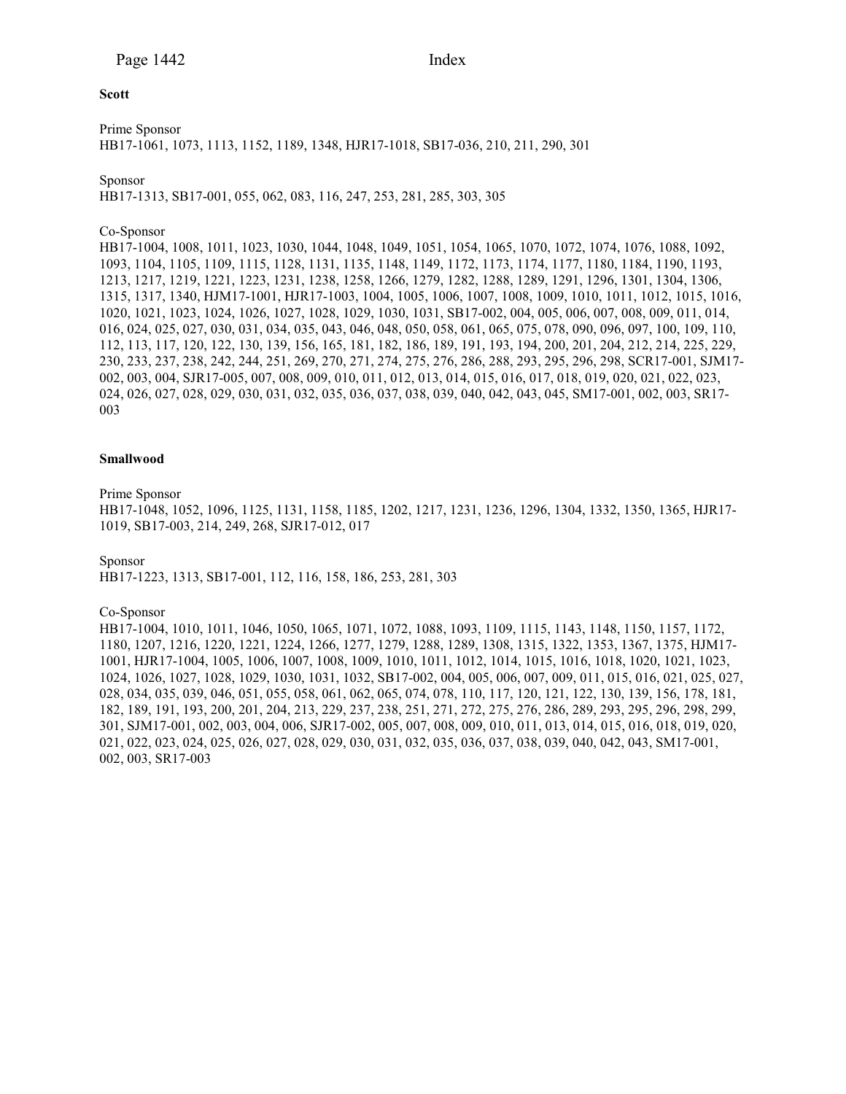### **Scott**

Prime Sponsor HB17-1061, 1073, 1113, 1152, 1189, 1348, HJR17-1018, SB17-036, 210, 211, 290, 301

# Sponsor

HB17-1313, SB17-001, 055, 062, 083, 116, 247, 253, 281, 285, 303, 305

# Co-Sponsor

HB17-1004, 1008, 1011, 1023, 1030, 1044, 1048, 1049, 1051, 1054, 1065, 1070, 1072, 1074, 1076, 1088, 1092, 1093, 1104, 1105, 1109, 1115, 1128, 1131, 1135, 1148, 1149, 1172, 1173, 1174, 1177, 1180, 1184, 1190, 1193, 1213, 1217, 1219, 1221, 1223, 1231, 1238, 1258, 1266, 1279, 1282, 1288, 1289, 1291, 1296, 1301, 1304, 1306, 1315, 1317, 1340, HJM17-1001, HJR17-1003, 1004, 1005, 1006, 1007, 1008, 1009, 1010, 1011, 1012, 1015, 1016, 1020, 1021, 1023, 1024, 1026, 1027, 1028, 1029, 1030, 1031, SB17-002, 004, 005, 006, 007, 008, 009, 011, 014, 016, 024, 025, 027, 030, 031, 034, 035, 043, 046, 048, 050, 058, 061, 065, 075, 078, 090, 096, 097, 100, 109, 110, 112, 113, 117, 120, 122, 130, 139, 156, 165, 181, 182, 186, 189, 191, 193, 194, 200, 201, 204, 212, 214, 225, 229, 230, 233, 237, 238, 242, 244, 251, 269, 270, 271, 274, 275, 276, 286, 288, 293, 295, 296, 298, SCR17-001, SJM17- 002, 003, 004, SJR17-005, 007, 008, 009, 010, 011, 012, 013, 014, 015, 016, 017, 018, 019, 020, 021, 022, 023, 024, 026, 027, 028, 029, 030, 031, 032, 035, 036, 037, 038, 039, 040, 042, 043, 045, SM17-001, 002, 003, SR17- 003

# **Smallwood**

Prime Sponsor

HB17-1048, 1052, 1096, 1125, 1131, 1158, 1185, 1202, 1217, 1231, 1236, 1296, 1304, 1332, 1350, 1365, HJR17- 1019, SB17-003, 214, 249, 268, SJR17-012, 017

Sponsor

HB17-1223, 1313, SB17-001, 112, 116, 158, 186, 253, 281, 303

#### Co-Sponsor

HB17-1004, 1010, 1011, 1046, 1050, 1065, 1071, 1072, 1088, 1093, 1109, 1115, 1143, 1148, 1150, 1157, 1172, 1180, 1207, 1216, 1220, 1221, 1224, 1266, 1277, 1279, 1288, 1289, 1308, 1315, 1322, 1353, 1367, 1375, HJM17- 1001, HJR17-1004, 1005, 1006, 1007, 1008, 1009, 1010, 1011, 1012, 1014, 1015, 1016, 1018, 1020, 1021, 1023, 1024, 1026, 1027, 1028, 1029, 1030, 1031, 1032, SB17-002, 004, 005, 006, 007, 009, 011, 015, 016, 021, 025, 027, 028, 034, 035, 039, 046, 051, 055, 058, 061, 062, 065, 074, 078, 110, 117, 120, 121, 122, 130, 139, 156, 178, 181, 182, 189, 191, 193, 200, 201, 204, 213, 229, 237, 238, 251, 271, 272, 275, 276, 286, 289, 293, 295, 296, 298, 299, 301, SJM17-001, 002, 003, 004, 006, SJR17-002, 005, 007, 008, 009, 010, 011, 013, 014, 015, 016, 018, 019, 020, 021, 022, 023, 024, 025, 026, 027, 028, 029, 030, 031, 032, 035, 036, 037, 038, 039, 040, 042, 043, SM17-001, 002, 003, SR17-003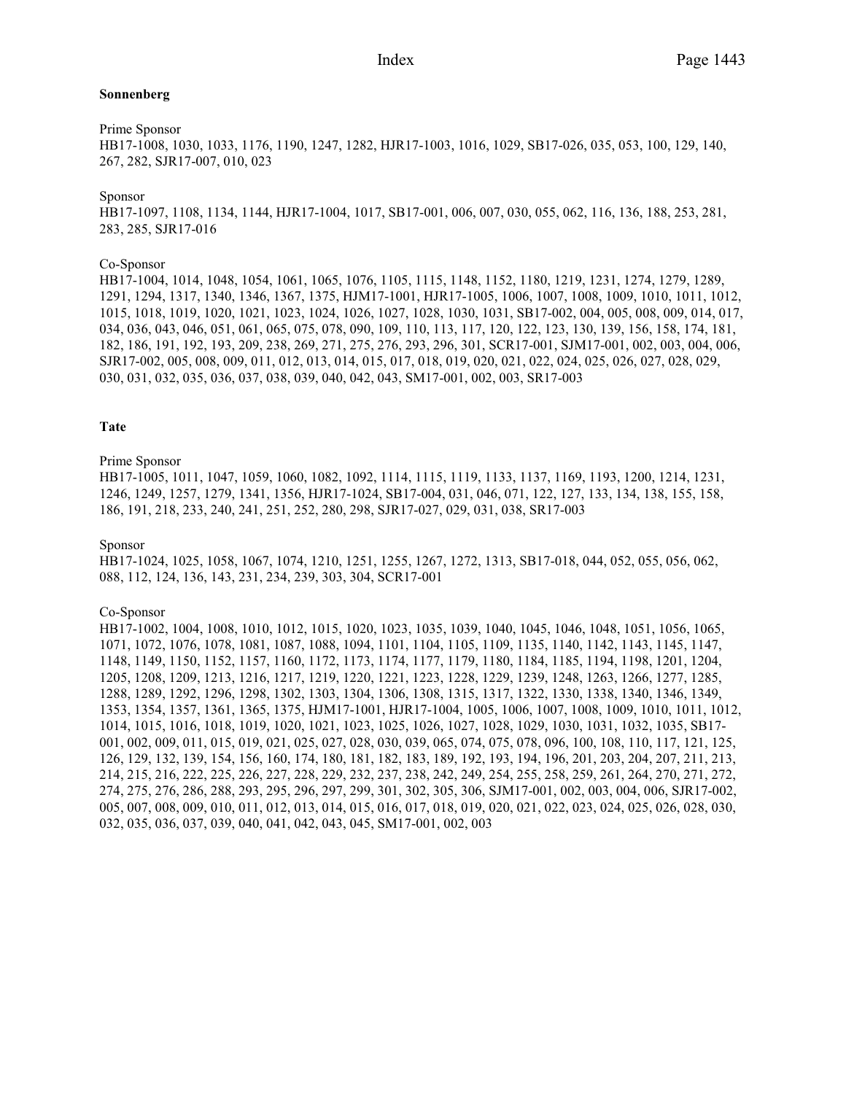#### **Sonnenberg**

#### Prime Sponsor

HB17-1008, 1030, 1033, 1176, 1190, 1247, 1282, HJR17-1003, 1016, 1029, SB17-026, 035, 053, 100, 129, 140, 267, 282, SJR17-007, 010, 023

#### Sponsor

HB17-1097, 1108, 1134, 1144, HJR17-1004, 1017, SB17-001, 006, 007, 030, 055, 062, 116, 136, 188, 253, 281, 283, 285, SJR17-016

#### Co-Sponsor

HB17-1004, 1014, 1048, 1054, 1061, 1065, 1076, 1105, 1115, 1148, 1152, 1180, 1219, 1231, 1274, 1279, 1289, 1291, 1294, 1317, 1340, 1346, 1367, 1375, HJM17-1001, HJR17-1005, 1006, 1007, 1008, 1009, 1010, 1011, 1012, 1015, 1018, 1019, 1020, 1021, 1023, 1024, 1026, 1027, 1028, 1030, 1031, SB17-002, 004, 005, 008, 009, 014, 017, 034, 036, 043, 046, 051, 061, 065, 075, 078, 090, 109, 110, 113, 117, 120, 122, 123, 130, 139, 156, 158, 174, 181, 182, 186, 191, 192, 193, 209, 238, 269, 271, 275, 276, 293, 296, 301, SCR17-001, SJM17-001, 002, 003, 004, 006, SJR17-002, 005, 008, 009, 011, 012, 013, 014, 015, 017, 018, 019, 020, 021, 022, 024, 025, 026, 027, 028, 029, 030, 031, 032, 035, 036, 037, 038, 039, 040, 042, 043, SM17-001, 002, 003, SR17-003

#### **Tate**

#### Prime Sponsor

HB17-1005, 1011, 1047, 1059, 1060, 1082, 1092, 1114, 1115, 1119, 1133, 1137, 1169, 1193, 1200, 1214, 1231, 1246, 1249, 1257, 1279, 1341, 1356, HJR17-1024, SB17-004, 031, 046, 071, 122, 127, 133, 134, 138, 155, 158, 186, 191, 218, 233, 240, 241, 251, 252, 280, 298, SJR17-027, 029, 031, 038, SR17-003

# Sponsor

HB17-1024, 1025, 1058, 1067, 1074, 1210, 1251, 1255, 1267, 1272, 1313, SB17-018, 044, 052, 055, 056, 062, 088, 112, 124, 136, 143, 231, 234, 239, 303, 304, SCR17-001

#### Co-Sponsor

HB17-1002, 1004, 1008, 1010, 1012, 1015, 1020, 1023, 1035, 1039, 1040, 1045, 1046, 1048, 1051, 1056, 1065, 1071, 1072, 1076, 1078, 1081, 1087, 1088, 1094, 1101, 1104, 1105, 1109, 1135, 1140, 1142, 1143, 1145, 1147, 1148, 1149, 1150, 1152, 1157, 1160, 1172, 1173, 1174, 1177, 1179, 1180, 1184, 1185, 1194, 1198, 1201, 1204, 1205, 1208, 1209, 1213, 1216, 1217, 1219, 1220, 1221, 1223, 1228, 1229, 1239, 1248, 1263, 1266, 1277, 1285, 1288, 1289, 1292, 1296, 1298, 1302, 1303, 1304, 1306, 1308, 1315, 1317, 1322, 1330, 1338, 1340, 1346, 1349, 1353, 1354, 1357, 1361, 1365, 1375, HJM17-1001, HJR17-1004, 1005, 1006, 1007, 1008, 1009, 1010, 1011, 1012, 1014, 1015, 1016, 1018, 1019, 1020, 1021, 1023, 1025, 1026, 1027, 1028, 1029, 1030, 1031, 1032, 1035, SB17- 001, 002, 009, 011, 015, 019, 021, 025, 027, 028, 030, 039, 065, 074, 075, 078, 096, 100, 108, 110, 117, 121, 125, 126, 129, 132, 139, 154, 156, 160, 174, 180, 181, 182, 183, 189, 192, 193, 194, 196, 201, 203, 204, 207, 211, 213, 214, 215, 216, 222, 225, 226, 227, 228, 229, 232, 237, 238, 242, 249, 254, 255, 258, 259, 261, 264, 270, 271, 272, 274, 275, 276, 286, 288, 293, 295, 296, 297, 299, 301, 302, 305, 306, SJM17-001, 002, 003, 004, 006, SJR17-002, 005, 007, 008, 009, 010, 011, 012, 013, 014, 015, 016, 017, 018, 019, 020, 021, 022, 023, 024, 025, 026, 028, 030, 032, 035, 036, 037, 039, 040, 041, 042, 043, 045, SM17-001, 002, 003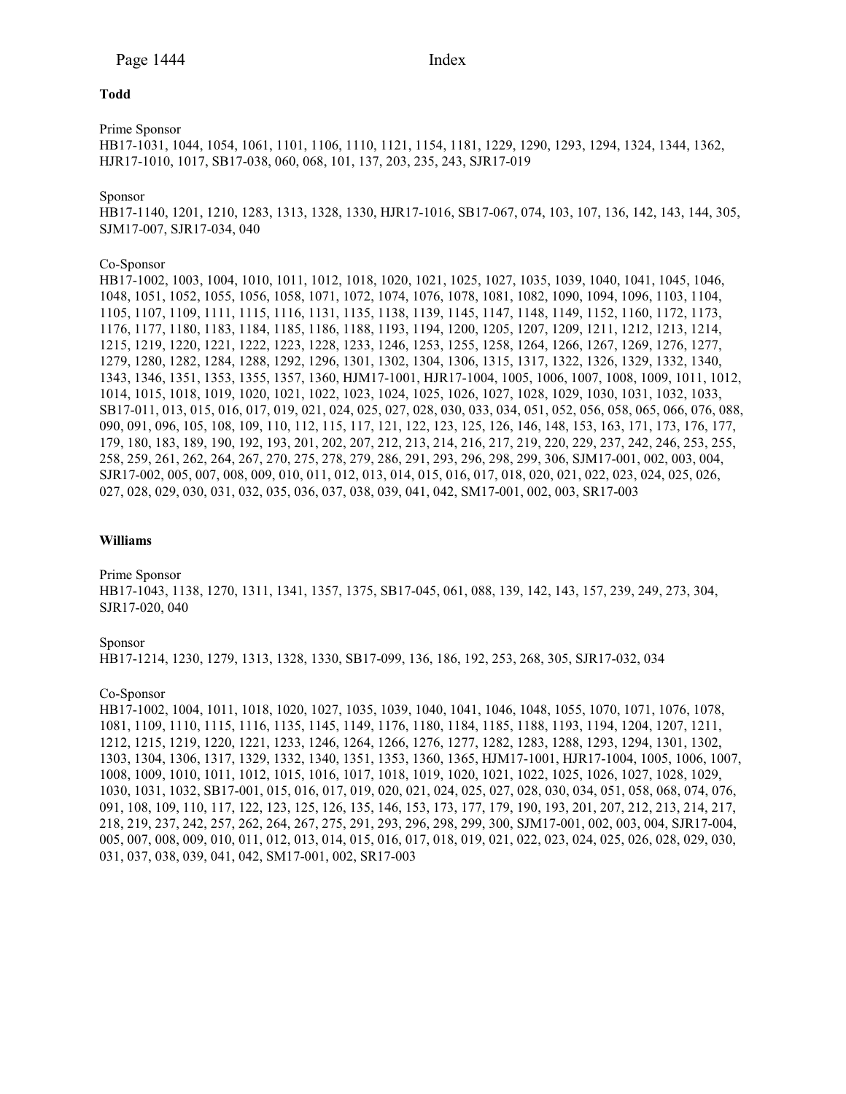#### **Todd**

Prime Sponsor

HB17-1031, 1044, 1054, 1061, 1101, 1106, 1110, 1121, 1154, 1181, 1229, 1290, 1293, 1294, 1324, 1344, 1362, HJR17-1010, 1017, SB17-038, 060, 068, 101, 137, 203, 235, 243, SJR17-019

#### Sponsor

HB17-1140, 1201, 1210, 1283, 1313, 1328, 1330, HJR17-1016, SB17-067, 074, 103, 107, 136, 142, 143, 144, 305, SJM17-007, SJR17-034, 040

#### Co-Sponsor

HB17-1002, 1003, 1004, 1010, 1011, 1012, 1018, 1020, 1021, 1025, 1027, 1035, 1039, 1040, 1041, 1045, 1046, 1048, 1051, 1052, 1055, 1056, 1058, 1071, 1072, 1074, 1076, 1078, 1081, 1082, 1090, 1094, 1096, 1103, 1104, 1105, 1107, 1109, 1111, 1115, 1116, 1131, 1135, 1138, 1139, 1145, 1147, 1148, 1149, 1152, 1160, 1172, 1173, 1176, 1177, 1180, 1183, 1184, 1185, 1186, 1188, 1193, 1194, 1200, 1205, 1207, 1209, 1211, 1212, 1213, 1214, 1215, 1219, 1220, 1221, 1222, 1223, 1228, 1233, 1246, 1253, 1255, 1258, 1264, 1266, 1267, 1269, 1276, 1277, 1279, 1280, 1282, 1284, 1288, 1292, 1296, 1301, 1302, 1304, 1306, 1315, 1317, 1322, 1326, 1329, 1332, 1340, 1343, 1346, 1351, 1353, 1355, 1357, 1360, HJM17-1001, HJR17-1004, 1005, 1006, 1007, 1008, 1009, 1011, 1012, 1014, 1015, 1018, 1019, 1020, 1021, 1022, 1023, 1024, 1025, 1026, 1027, 1028, 1029, 1030, 1031, 1032, 1033, SB17-011, 013, 015, 016, 017, 019, 021, 024, 025, 027, 028, 030, 033, 034, 051, 052, 056, 058, 065, 066, 076, 088, 090, 091, 096, 105, 108, 109, 110, 112, 115, 117, 121, 122, 123, 125, 126, 146, 148, 153, 163, 171, 173, 176, 177, 179, 180, 183, 189, 190, 192, 193, 201, 202, 207, 212, 213, 214, 216, 217, 219, 220, 229, 237, 242, 246, 253, 255, 258, 259, 261, 262, 264, 267, 270, 275, 278, 279, 286, 291, 293, 296, 298, 299, 306, SJM17-001, 002, 003, 004, SJR17-002, 005, 007, 008, 009, 010, 011, 012, 013, 014, 015, 016, 017, 018, 020, 021, 022, 023, 024, 025, 026, 027, 028, 029, 030, 031, 032, 035, 036, 037, 038, 039, 041, 042, SM17-001, 002, 003, SR17-003

# **Williams**

Prime Sponsor HB17-1043, 1138, 1270, 1311, 1341, 1357, 1375, SB17-045, 061, 088, 139, 142, 143, 157, 239, 249, 273, 304, SJR17-020, 040

Sponsor

HB17-1214, 1230, 1279, 1313, 1328, 1330, SB17-099, 136, 186, 192, 253, 268, 305, SJR17-032, 034

# Co-Sponsor

HB17-1002, 1004, 1011, 1018, 1020, 1027, 1035, 1039, 1040, 1041, 1046, 1048, 1055, 1070, 1071, 1076, 1078, 1081, 1109, 1110, 1115, 1116, 1135, 1145, 1149, 1176, 1180, 1184, 1185, 1188, 1193, 1194, 1204, 1207, 1211, 1212, 1215, 1219, 1220, 1221, 1233, 1246, 1264, 1266, 1276, 1277, 1282, 1283, 1288, 1293, 1294, 1301, 1302, 1303, 1304, 1306, 1317, 1329, 1332, 1340, 1351, 1353, 1360, 1365, HJM17-1001, HJR17-1004, 1005, 1006, 1007, 1008, 1009, 1010, 1011, 1012, 1015, 1016, 1017, 1018, 1019, 1020, 1021, 1022, 1025, 1026, 1027, 1028, 1029, 1030, 1031, 1032, SB17-001, 015, 016, 017, 019, 020, 021, 024, 025, 027, 028, 030, 034, 051, 058, 068, 074, 076, 091, 108, 109, 110, 117, 122, 123, 125, 126, 135, 146, 153, 173, 177, 179, 190, 193, 201, 207, 212, 213, 214, 217, 218, 219, 237, 242, 257, 262, 264, 267, 275, 291, 293, 296, 298, 299, 300, SJM17-001, 002, 003, 004, SJR17-004, 005, 007, 008, 009, 010, 011, 012, 013, 014, 015, 016, 017, 018, 019, 021, 022, 023, 024, 025, 026, 028, 029, 030, 031, 037, 038, 039, 041, 042, SM17-001, 002, SR17-003